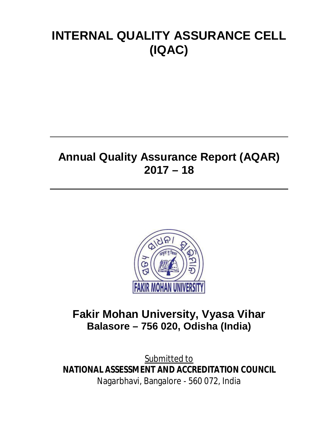# **INTERNAL QUALITY ASSURANCE CELL (IQAC)**

# **Annual Quality Assurance Report (AQAR) 2017 – 18**



# **Fakir Mohan University, Vyasa Vihar Balasore – 756 020, Odisha (India)**

Submitted to **NATIONAL ASSESSMENT AND ACCREDITATION COUNCIL** Nagarbhavi, Bangalore - 560 072, India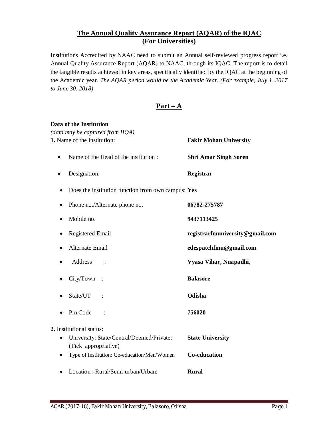## **The Annual Quality Assurance Report (AQAR) of the IQAC (For Universities)**

Institutions Accredited by NAAC need to submit an Annual self-reviewed progress report i.e. Annual Quality Assurance Report (AQAR) to NAAC, through its IQAC. The report is to detail the tangible results achieved in key areas, specifically identified by the IQAC at the beginning of the Academic year. *The AQAR period would be the Academic Year. (For example, July 1, 2017 to June 30, 2018)*

## **Part – A**

#### **Data of the Institution**

| (data may be captured from IIQA)                                       |                                 |
|------------------------------------------------------------------------|---------------------------------|
| 1. Name of the Institution:                                            | <b>Fakir Mohan University</b>   |
| Name of the Head of the institution:                                   | <b>Shri Amar Singh Soren</b>    |
| Designation:                                                           | Registrar                       |
| Does the institution function from own campus: Yes                     |                                 |
| Phone no./Alternate phone no.<br>$\bullet$                             | 06782-275787                    |
| Mobile no.                                                             | 9437113425                      |
| <b>Registered Email</b>                                                | registrarfmuniversity@gmail.com |
| <b>Alternate Email</b>                                                 | edespatchfmu@gmail.com          |
| Address                                                                | Vyasa Vihar, Nuapadhi,          |
| City/Town                                                              | <b>Balasore</b>                 |
| State/UT<br>$\sim$ :                                                   | Odisha                          |
| Pin Code<br>$\ddot{\cdot}$                                             | 756020                          |
| 2. Institutional status:                                               |                                 |
| University: State/Central/Deemed/Private:<br>٠<br>(Tick appropriative) | <b>State University</b>         |
| Type of Institution: Co-education/Men/Women                            | <b>Co-education</b>             |
| Location: Rural/Semi-urban/Urban:                                      | <b>Rural</b>                    |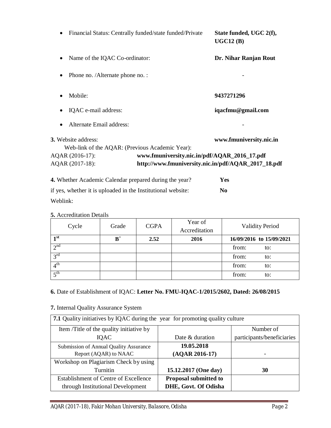|                                                        | Financial Status: Centrally funded/state funded/Private | State funded, UGC 2(f),<br>UGC12(B)                 |
|--------------------------------------------------------|---------------------------------------------------------|-----------------------------------------------------|
| Name of the IQAC Co-ordinator:                         |                                                         | Dr. Nihar Ranjan Rout                               |
| Phone no. /Alternate phone no. :                       |                                                         |                                                     |
| Mobile:                                                |                                                         | 9437271296                                          |
| IQAC e-mail address:                                   |                                                         | iqacfmu@gmail.com                                   |
| Alternate Email address:                               |                                                         |                                                     |
| <b>3.</b> Website address:                             |                                                         | www.fmuniversity.nic.in                             |
| Web-link of the AQAR: (Previous Academic Year):        |                                                         |                                                     |
| AQAR (2016-17):                                        | www.fmuniversity.nic.in/pdf/AQAR_2016_17.pdf            |                                                     |
| AQAR (2017-18):                                        |                                                         | http://www.fmuniversity.nic.in/pdf/AQAR_2017_18.pdf |
| 4. Whether Academic Calendar prepared during the year? |                                                         | <b>Yes</b>                                          |

if yes, whether it is uploaded in the Institutional website: **No**

Weblink:

**5.** Accreditation Details

| Cycle             | Grade       | <b>CGPA</b> | Year of<br>Accreditation | <b>Validity Period</b>   |
|-------------------|-------------|-------------|--------------------------|--------------------------|
| 1 <sup>st</sup>   | ${\bf B}^+$ | 2.52        | 2016                     | 16/09/2016 to 15/09/2021 |
| 2 <sup>nd</sup>   |             |             |                          | from:<br>to:             |
| 3 <sup>rd</sup>   |             |             |                          | from:<br>to:             |
| 4 <sup>th</sup>   |             |             |                          | from:<br>to:             |
| $5$ <sup>th</sup> |             |             |                          | from:<br>to:             |

### **6.** Date of Establishment of IQAC: **Letter No. FMU-IQAC-1/2015/2602, Dated: 26/08/2015**

**7.** Internal Quality Assurance System

| <b>7.1</b> Quality initiatives by IQAC during the year for promoting quality culture |                              |                            |  |  |  |  |
|--------------------------------------------------------------------------------------|------------------------------|----------------------------|--|--|--|--|
| Item /Title of the quality initiative by                                             |                              | Number of                  |  |  |  |  |
| IQAC                                                                                 | Date & duration              | participants/beneficiaries |  |  |  |  |
| Submission of Annual Quality Assurance                                               | 19.05.2018                   |                            |  |  |  |  |
| Report (AQAR) to NAAC                                                                | $(AQAR 2016-17)$             | -                          |  |  |  |  |
| Workshop on Plagiarism Check by using                                                |                              |                            |  |  |  |  |
| Turnitin                                                                             | 15.12.2017 (One day)         | 30                         |  |  |  |  |
| <b>Establishment of Centre of Excellence</b>                                         | <b>Proposal submitted to</b> |                            |  |  |  |  |
| through Institutional Development                                                    | DHE, Govt. Of Odisha         |                            |  |  |  |  |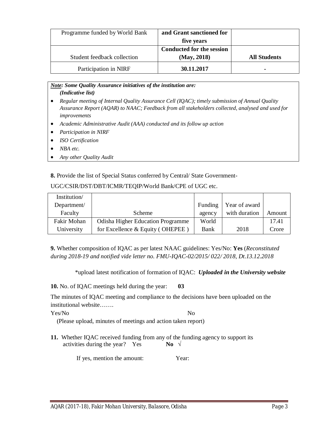| Programme funded by World Bank | and Grant sanctioned for         |                     |
|--------------------------------|----------------------------------|---------------------|
|                                | five years                       |                     |
|                                | <b>Conducted for the session</b> |                     |
| Student feedback collection    | (May, 2018)                      | <b>All Students</b> |
| Participation in NIRF          | 30.11.2017                       |                     |

#### *Note: Some Quality Assurance initiatives of the institution are: (Indicative list)*

- *Regular meeting of Internal Quality Assurance Cell (IQAC); timely submission of Annual Quality Assurance Report (AQAR) to NAAC; Feedback from all stakeholders collected, analysed and used for improvements*
- *Academic Administrative Audit (AAA) conducted and its follow up action*
- *Participation in NIRF*
- *ISO Certification*
- *NBA etc.*
- *Any other Quality Audit*

**8.** Provide the list of Special Status conferred by Central/ State Government-

#### UGC/CSIR/DST/DBT/ICMR/TEQIP/World Bank/CPE of UGC etc.

| Institution/ |                                          |         |               |        |
|--------------|------------------------------------------|---------|---------------|--------|
| Department/  |                                          | Funding | Year of award |        |
| Faculty      | Scheme                                   | agency  | with duration | Amount |
| Fakir Mohan  | <b>Odisha Higher Education Programme</b> | World   |               | 17.41  |
| University   | for Excellence $&$ Equity (OHEPEE)       | Bank    | 2018          | Crore  |

**9.** Whether composition of IQAC as per latest NAAC guidelines: Yes/No: **Yes** (*Reconstituted during 2018-19 and notified vide letter no. FMU-IQAC-02/2015/ 022/ 2018, Dt.13.12.2018*

\*upload latest notification of formation of IQAC: *Uploaded in the University website*

**10.** No. of IQAC meetings held during the year: **03** 

The minutes of IQAC meeting and compliance to the decisions have been uploaded on the institutional website…….

Yes/No No

(Please upload, minutes of meetings and action taken report)

**11.** Whether IQAC received funding from any of the funding agency to support its activities during the year? Yes **No**  $\sqrt{ }$ 

If yes, mention the amount: Year: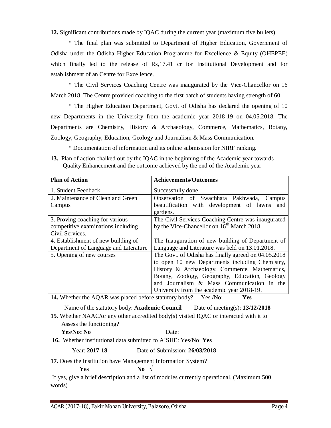**12.** Significant contributions made by IQAC during the current year (maximum five bullets)

\* The final plan was submitted to Department of Higher Education, Government of Odisha under the Odisha Higher Education Programme for Excellence & Equity (OHEPEE) which finally led to the release of Rs,17.41 cr for Institutional Development and for establishment of an Centre for Excellence.

\* The Civil Services Coaching Centre was inaugurated by the Vice-Chancellor on 16 March 2018. The Centre provided coaching to the first batch of students having strength of 60.

\* The Higher Education Department, Govt. of Odisha has declared the opening of 10 new Departments in the University from the academic year 2018-19 on 04.05.2018. The Departments are Chemistry, History & Archaeology, Commerce, Mathematics, Botany, Zoology, Geography, Education, Geology and Journalism & Mass Communication.

\* Documentation of information and its online submission for NIRF ranking.

**13.** Plan of action chalked out by the IQAC in the beginning of the Academic year towards Quality Enhancement and the outcome achieved by the end of the Academic year

| <b>Plan of Action</b>                                                                    | <b>Achievements/Outcomes</b>                                                                                                                                                                                                                                                                           |
|------------------------------------------------------------------------------------------|--------------------------------------------------------------------------------------------------------------------------------------------------------------------------------------------------------------------------------------------------------------------------------------------------------|
| 1. Student Feedback                                                                      | Successfully done                                                                                                                                                                                                                                                                                      |
| 2. Maintenance of Clean and Green<br>Campus                                              | Observation of Swachhata Pakhwada, Campus<br>beautification with development of lawns<br>and<br>gardens.                                                                                                                                                                                               |
| 3. Proving coaching for various<br>competitive examinations including<br>Civil Services. | The Civil Services Coaching Centre was inaugurated<br>by the Vice-Chancellor on 16 <sup>th</sup> March 2018.                                                                                                                                                                                           |
| 4. Establishment of new building of<br>Department of Language and Literature             | The Inauguration of new building of Department of<br>Language and Literature was held on 13.01.2018.                                                                                                                                                                                                   |
| 5. Opening of new courses                                                                | The Govt. of Odisha has finally agreed on 04.05.2018<br>to open 10 new Departments including Chemistry,<br>History & Archaeology, Commerce, Mathematics,<br>Botany, Zoology, Geography, Education, Geology<br>and Journalism & Mass Communication in the<br>University from the academic year 2018-19. |

**14.** Whether the AQAR was placed before statutory body? Yes /No: **Yes** 

Name of the statutory body: **Academic Council** Date of meeting(s): **13/12/2018**

**15.** Whether NAAC/or any other accredited body(s) visited IQAC or interacted with it to Assess the functioning?

 **Yes/No: No** Date:

**16.** Whether institutional data submitted to AISHE: Yes/No: **Yes**

Year: **2017-18** Date of Submission: **26/03/2018**

**17.** Does the Institution have Management Information System?

**Yes No** √

If yes, give a brief description and a list of modules currently operational. (Maximum 500 words)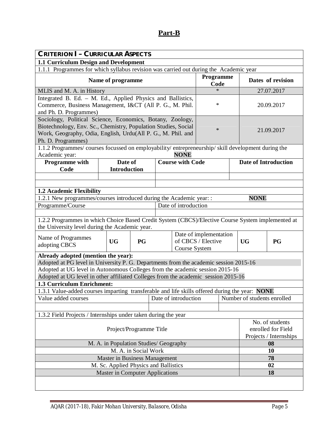# **Part-B**

| <b>CRITERION I- CURRICULAR ASPECTS</b>                                                                                                              |                                                                                       |           |  |                         |                        |                   |                             |                    |
|-----------------------------------------------------------------------------------------------------------------------------------------------------|---------------------------------------------------------------------------------------|-----------|--|-------------------------|------------------------|-------------------|-----------------------------|--------------------|
| 1.1 Curriculum Design and Development                                                                                                               |                                                                                       |           |  |                         |                        |                   |                             |                    |
|                                                                                                                                                     | 1.1.1 Programmes for which syllabus revision was carried out during the Academic year |           |  |                         |                        |                   |                             |                    |
|                                                                                                                                                     | Name of programme                                                                     |           |  |                         |                        | Programme<br>Code |                             | Dates of revision  |
| MLIS and M. A. in History                                                                                                                           |                                                                                       |           |  |                         | $\ast$                 |                   |                             | 27.07.2017         |
| Integrated B. Ed. - M. Ed., Applied Physics and Ballistics,                                                                                         |                                                                                       |           |  |                         |                        |                   |                             |                    |
| Commerce, Business Management, I&CT (All P. G., M. Phil.                                                                                            |                                                                                       |           |  |                         | *                      |                   |                             | 20.09.2017         |
| and Ph. D. Programmes)                                                                                                                              |                                                                                       |           |  |                         |                        |                   |                             |                    |
| Sociology, Political Science, Economics, Botany, Zoology,                                                                                           |                                                                                       |           |  |                         |                        |                   |                             |                    |
| Biotechnology, Env. Sc., Chemistry, Population Studies, Social<br>Work, Geography, Odia, English, Urdu(All P. G., M. Phil. and                      |                                                                                       |           |  |                         | $\ast$                 |                   |                             | 21.09.2017         |
| Ph. D. Programmes)                                                                                                                                  |                                                                                       |           |  |                         |                        |                   |                             |                    |
| 1.1.2 Programmes/courses focussed on employability/entrepreneurship/skill development during the                                                    |                                                                                       |           |  |                         |                        |                   |                             |                    |
| Academic year:                                                                                                                                      |                                                                                       |           |  | <b>NONE</b>             |                        |                   |                             |                    |
| <b>Programme</b> with                                                                                                                               | Date of                                                                               |           |  | <b>Course with Code</b> |                        |                   | <b>Date of Introduction</b> |                    |
| Code                                                                                                                                                | <b>Introduction</b>                                                                   |           |  |                         |                        |                   |                             |                    |
|                                                                                                                                                     |                                                                                       |           |  |                         |                        |                   |                             |                    |
|                                                                                                                                                     |                                                                                       |           |  |                         |                        |                   |                             |                    |
| 1.2 Academic Flexibility                                                                                                                            |                                                                                       |           |  |                         |                        |                   |                             |                    |
| 1.2.1 New programmes/courses introduced during the Academic year: :                                                                                 |                                                                                       |           |  |                         |                        |                   | <b>NONE</b>                 |                    |
| Programme/Course                                                                                                                                    |                                                                                       |           |  | Date of introduction    |                        |                   |                             |                    |
| 1.2.2 Programmes in which Choice Based Credit System (CBCS)/Elective Course System implemented at<br>the University level during the Academic year. |                                                                                       |           |  |                         |                        |                   |                             |                    |
|                                                                                                                                                     |                                                                                       |           |  |                         | Date of implementation |                   |                             |                    |
| Name of Programmes<br>adopting CBCS                                                                                                                 | <b>UG</b>                                                                             | <b>PG</b> |  |                         | of CBCS / Elective     |                   | <b>UG</b>                   | <b>PG</b>          |
| Already adopted (mention the year):                                                                                                                 |                                                                                       |           |  | Course System           |                        |                   |                             |                    |
| Adopted at PG level in University P. G. Departments from the academic session 2015-16                                                               |                                                                                       |           |  |                         |                        |                   |                             |                    |
| Adopted at UG level in Autonomous Colleges from the academic session 2015-16                                                                        |                                                                                       |           |  |                         |                        |                   |                             |                    |
| Adopted at UG level in other affiliated Colleges from the academic session 2015-16                                                                  |                                                                                       |           |  |                         |                        |                   |                             |                    |
| 1.3 Curriculum Enrichment:                                                                                                                          |                                                                                       |           |  |                         |                        |                   |                             |                    |
| 1.3.1 Value-added courses imparting transferable and life skills offered during the year: NONE                                                      |                                                                                       |           |  |                         |                        |                   |                             |                    |
| Value added courses                                                                                                                                 |                                                                                       |           |  | Date of introduction    |                        |                   | Number of students enrolled |                    |
|                                                                                                                                                     |                                                                                       |           |  |                         |                        |                   |                             |                    |
| 1.3.2 Field Projects / Internships under taken during the year                                                                                      |                                                                                       |           |  |                         |                        |                   |                             |                    |
|                                                                                                                                                     |                                                                                       |           |  |                         |                        |                   |                             | No. of students    |
| Project/Programme Title                                                                                                                             |                                                                                       |           |  |                         |                        |                   |                             | enrolled for Field |
|                                                                                                                                                     |                                                                                       |           |  |                         |                        |                   | Projects / Internships      |                    |
| M. A. in Population Studies/ Geography<br>08                                                                                                        |                                                                                       |           |  |                         |                        |                   |                             |                    |
| M. A. in Social Work                                                                                                                                |                                                                                       |           |  |                         |                        | 10                |                             |                    |
| Master in Business Management                                                                                                                       |                                                                                       |           |  |                         |                        | 78                |                             |                    |
| M. Sc. Applied Physics and Ballistics<br><b>Master in Computer Applications</b>                                                                     |                                                                                       |           |  |                         | 02                     |                   |                             |                    |
|                                                                                                                                                     |                                                                                       |           |  |                         |                        |                   |                             | 18                 |
|                                                                                                                                                     |                                                                                       |           |  |                         |                        |                   |                             |                    |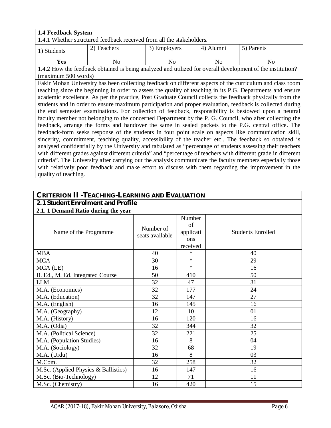| <b>1.4 Feedback System</b>                                                                                |     |                |                |                                                                                                            |  |  |  |
|-----------------------------------------------------------------------------------------------------------|-----|----------------|----------------|------------------------------------------------------------------------------------------------------------|--|--|--|
| 1.4.1 Whether structured feedback received from all the stakeholders.                                     |     |                |                |                                                                                                            |  |  |  |
| 4) Alumni<br>5) Parents<br>2) Teachers<br>3) Employers<br>1) Students                                     |     |                |                |                                                                                                            |  |  |  |
| <b>Yes</b>                                                                                                | No. | N <sub>0</sub> | N <sub>0</sub> | No.                                                                                                        |  |  |  |
|                                                                                                           |     |                |                | 1.4.2 How the feedback obtained is being analyzed and utilized for overall development of the institution? |  |  |  |
| (maximum 500 words)                                                                                       |     |                |                |                                                                                                            |  |  |  |
| Fakir Mohan University has been collecting feedback on different aspects of the curriculum and class room |     |                |                |                                                                                                            |  |  |  |
|                                                                                                           |     |                |                | teaching since the beginning in order to assess the quality of teaching in its P.G. Departments and ensure |  |  |  |

teaching since the beginning in order to assess the quality of teaching in its P.G. Departments and ensure academic excellence. As per the practice, Post Graduate Council collects the feedback physically from the students and in order to ensure maximum participation and proper evaluation, feedback is collected during the end semester examinations. For collection of feedback, responsibility is bestowed upon a neutral faculty member not belonging to the concerned Department by the P. G. Council, who after collecting the feedback, arrange the forms and handover the same in sealed packets to the P.G. central office. The feedback-form seeks response of the students in four point scale on aspects like communication skill, sincerity, commitment, teaching quality, accessibility of the teacher etc.. The feedback so obtained is analysed confidentially by the University and tabulated as "percentage of students assessing their teachers with different grades against different criteria" and "percentage of teachers with different grade in different criteria". The University after carrying out the analysis communicate the faculty members especially those with relatively poor feedback and make effort to discuss with them regarding the improvement in the quality of teaching.

| <b>CRITERION II - TEACHING-LEARNING AND EVALUATION</b> |                              |                                              |                          |  |  |  |  |  |  |
|--------------------------------------------------------|------------------------------|----------------------------------------------|--------------------------|--|--|--|--|--|--|
| 2.1 Student Enrolment and Profile                      |                              |                                              |                          |  |  |  |  |  |  |
| 2.1.1 Demand Ratio during the year                     |                              |                                              |                          |  |  |  |  |  |  |
| Name of the Programme                                  | Number of<br>seats available | Number<br>of<br>applicati<br>ons<br>received | <b>Students Enrolled</b> |  |  |  |  |  |  |
| <b>MBA</b>                                             | 40                           | $\ast$                                       | 40                       |  |  |  |  |  |  |
| <b>MCA</b>                                             | 30                           | $\ast$                                       | 29                       |  |  |  |  |  |  |
| MCA (LE)                                               | 16                           | $\ast$                                       | 16                       |  |  |  |  |  |  |
| B. Ed., M. Ed. Integrated Course                       | 50                           | 410                                          | 50                       |  |  |  |  |  |  |
| <b>LLM</b>                                             | 32                           | 47                                           | 31                       |  |  |  |  |  |  |
| M.A. (Economics)                                       | 32                           | 177                                          | 24                       |  |  |  |  |  |  |
| M.A. (Education)                                       | 32                           | 147                                          | 27                       |  |  |  |  |  |  |
| M.A. (English)                                         | 16                           | 145                                          | 16                       |  |  |  |  |  |  |
| M.A. (Geography)                                       | 12                           | 10                                           | 01                       |  |  |  |  |  |  |
| M.A. (History)                                         | 16                           | 120                                          | 16                       |  |  |  |  |  |  |
| M.A. (Odia)                                            | 32                           | 344                                          | 32                       |  |  |  |  |  |  |
| M.A. (Political Science)                               | 32                           | 221                                          | 25                       |  |  |  |  |  |  |
| M.A. (Population Studies)                              | 16                           | 8                                            | 04                       |  |  |  |  |  |  |
| M.A. (Sociology)                                       | 32                           | 68                                           | 19                       |  |  |  |  |  |  |
| M.A. (Urdu)                                            | 16                           | 8                                            | 03                       |  |  |  |  |  |  |
| M.Com.                                                 | 32                           | 258                                          | 32                       |  |  |  |  |  |  |
| M.Sc. (Applied Physics & Ballistics)                   | 16                           | 147                                          | 16                       |  |  |  |  |  |  |
| M.Sc. (Bio-Technology)                                 | 12                           | 71                                           | 11                       |  |  |  |  |  |  |
| M.Sc. (Chemistry)                                      | 16                           | 420                                          | 15                       |  |  |  |  |  |  |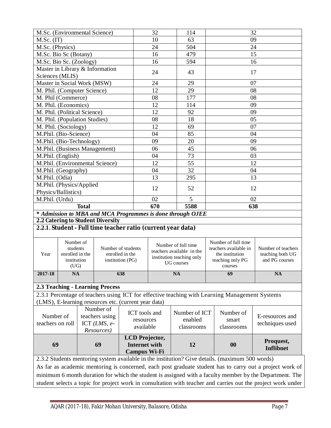| M.Sc. (Environmental Science)                                                                                                                                                                                   |                                                                 |                                                           |                                                                           |                                                              | 32                                                                                                 | 114                                                        | 32 |                                                                                                 |                                                          |  |
|-----------------------------------------------------------------------------------------------------------------------------------------------------------------------------------------------------------------|-----------------------------------------------------------------|-----------------------------------------------------------|---------------------------------------------------------------------------|--------------------------------------------------------------|----------------------------------------------------------------------------------------------------|------------------------------------------------------------|----|-------------------------------------------------------------------------------------------------|----------------------------------------------------------|--|
| $M.Sc.$ (IT)                                                                                                                                                                                                    |                                                                 |                                                           |                                                                           |                                                              | 10                                                                                                 | 63                                                         |    | 09                                                                                              |                                                          |  |
| M.Sc. (Physics)                                                                                                                                                                                                 |                                                                 |                                                           |                                                                           |                                                              | 24                                                                                                 | 504                                                        |    |                                                                                                 | 24                                                       |  |
| M.Sc. Bio Sc (Botany)                                                                                                                                                                                           |                                                                 |                                                           |                                                                           |                                                              | 16                                                                                                 | 479                                                        |    |                                                                                                 | 15                                                       |  |
| M.Sc. Bio Sc. (Zoology)                                                                                                                                                                                         |                                                                 |                                                           |                                                                           |                                                              | 16                                                                                                 | 594                                                        |    |                                                                                                 | 16                                                       |  |
| Sciences (MLIS)                                                                                                                                                                                                 |                                                                 |                                                           | Master in Library & Information                                           |                                                              | 24                                                                                                 | 43                                                         |    |                                                                                                 | 17                                                       |  |
| Master in Social Work (MSW)                                                                                                                                                                                     |                                                                 |                                                           |                                                                           |                                                              | 24                                                                                                 | 29                                                         |    | 07                                                                                              |                                                          |  |
| M. Phil. (Computer Science)                                                                                                                                                                                     |                                                                 |                                                           |                                                                           |                                                              | 12                                                                                                 | 29                                                         |    | 08                                                                                              |                                                          |  |
| M. Phil (Commerce)                                                                                                                                                                                              |                                                                 |                                                           |                                                                           |                                                              | 08                                                                                                 | 177                                                        |    | 08                                                                                              |                                                          |  |
| M. Phil. (Economics)                                                                                                                                                                                            |                                                                 |                                                           |                                                                           |                                                              | 12                                                                                                 | 114                                                        |    | 09                                                                                              |                                                          |  |
| M. Phil. (Political Science)                                                                                                                                                                                    |                                                                 |                                                           |                                                                           |                                                              | 12                                                                                                 | 92                                                         |    | 09                                                                                              |                                                          |  |
| M. Phil. (Population Studies)                                                                                                                                                                                   |                                                                 |                                                           |                                                                           |                                                              | 08                                                                                                 | 18                                                         |    | 05                                                                                              |                                                          |  |
| M. Phil. (Sociology)                                                                                                                                                                                            |                                                                 |                                                           |                                                                           |                                                              | 12                                                                                                 | 69                                                         |    | 07                                                                                              |                                                          |  |
| M.Phil. (Bio-Science)                                                                                                                                                                                           |                                                                 |                                                           |                                                                           |                                                              | 04                                                                                                 | 85                                                         |    | 04                                                                                              |                                                          |  |
| M.Phil. (Bio-Technology)                                                                                                                                                                                        |                                                                 |                                                           |                                                                           |                                                              | 09                                                                                                 | 20                                                         |    | 09                                                                                              |                                                          |  |
|                                                                                                                                                                                                                 |                                                                 |                                                           | M.Phil. (Business Management)                                             |                                                              | 06                                                                                                 | 45                                                         |    |                                                                                                 | 06                                                       |  |
| M.Phil. (English)                                                                                                                                                                                               |                                                                 |                                                           |                                                                           |                                                              | 04                                                                                                 | 73                                                         |    | 03                                                                                              |                                                          |  |
|                                                                                                                                                                                                                 |                                                                 |                                                           | M.Phil. (Environmental Science)                                           |                                                              | 12                                                                                                 | 55                                                         |    |                                                                                                 | 12                                                       |  |
| M.Phil. (Geography)                                                                                                                                                                                             |                                                                 |                                                           |                                                                           |                                                              | 04                                                                                                 | 32                                                         |    |                                                                                                 | 04                                                       |  |
| M.Phil. (Odia)                                                                                                                                                                                                  |                                                                 |                                                           |                                                                           |                                                              | 13                                                                                                 | 295                                                        |    |                                                                                                 | 13                                                       |  |
|                                                                                                                                                                                                                 |                                                                 | M.Phil. (Physics/Applied<br>12<br>52<br>12                |                                                                           |                                                              |                                                                                                    |                                                            |    |                                                                                                 |                                                          |  |
| Physics/Ballistics)<br>M.Phil. (Urdu)                                                                                                                                                                           |                                                                 |                                                           |                                                                           |                                                              | 02                                                                                                 | 5                                                          | 02 |                                                                                                 |                                                          |  |
|                                                                                                                                                                                                                 |                                                                 | <b>Total</b>                                              |                                                                           |                                                              | 670                                                                                                | 5588                                                       |    | 638                                                                                             |                                                          |  |
|                                                                                                                                                                                                                 |                                                                 |                                                           |                                                                           |                                                              |                                                                                                    |                                                            |    |                                                                                                 |                                                          |  |
|                                                                                                                                                                                                                 |                                                                 |                                                           | 2.2 Catering to Student Diversity                                         |                                                              |                                                                                                    | * Admission to MBA and MCA Programmes is done through OJEE |    |                                                                                                 |                                                          |  |
|                                                                                                                                                                                                                 |                                                                 |                                                           |                                                                           | 2.2.1. Student - Full time teacher ratio (current year data) |                                                                                                    |                                                            |    |                                                                                                 |                                                          |  |
|                                                                                                                                                                                                                 |                                                                 |                                                           |                                                                           |                                                              |                                                                                                    |                                                            |    |                                                                                                 |                                                          |  |
| Year                                                                                                                                                                                                            | Number of<br>students<br>enrolled in the<br>institution<br>(UG) | Number of students<br>enrolled in the<br>institution (PG) |                                                                           |                                                              | Number of full time<br>teachers available in the<br>institution teaching only<br><b>UG</b> courses |                                                            |    | Number of full time<br>teachers available in<br>the institution<br>teaching only PG<br>courses  | Number of teachers<br>teaching both UG<br>and PG courses |  |
| 2017-18                                                                                                                                                                                                         | <b>NA</b>                                                       |                                                           |                                                                           | 638                                                          |                                                                                                    | <b>NA</b>                                                  |    | 69                                                                                              | <b>NA</b>                                                |  |
|                                                                                                                                                                                                                 |                                                                 |                                                           |                                                                           |                                                              |                                                                                                    |                                                            |    |                                                                                                 |                                                          |  |
|                                                                                                                                                                                                                 |                                                                 |                                                           | <b>2.3 Teaching - Learning Process</b>                                    |                                                              |                                                                                                    |                                                            |    |                                                                                                 |                                                          |  |
|                                                                                                                                                                                                                 |                                                                 |                                                           |                                                                           |                                                              |                                                                                                    |                                                            |    | 2.3.1 Percentage of teachers using ICT for effective teaching with Learning Management Systems  |                                                          |  |
|                                                                                                                                                                                                                 |                                                                 |                                                           |                                                                           | (LMS), E-learning resources etc. (current year data)         |                                                                                                    |                                                            |    |                                                                                                 |                                                          |  |
| Number of<br>teachers on roll                                                                                                                                                                                   |                                                                 |                                                           | Number of<br>teachers using<br>ICT $(LMS, e$ -<br>Resources)              |                                                              | ICT tools and<br>Number of ICT<br>enabled<br>resources<br>available<br>classrooms                  |                                                            |    | Number of<br>smart<br>classrooms                                                                | E-resources and<br>techniques used                       |  |
| 69                                                                                                                                                                                                              |                                                                 |                                                           | LCD Projector,<br>69<br><b>Internet with</b><br>12<br><b>Campus Wi-Fi</b> |                                                              |                                                                                                    |                                                            | 00 | Proquest,<br><b>Inflibnet</b>                                                                   |                                                          |  |
|                                                                                                                                                                                                                 |                                                                 |                                                           |                                                                           |                                                              |                                                                                                    |                                                            |    | 2.3.2 Students mentoring system available in the institution? Give details. (maximum 500 words) |                                                          |  |
|                                                                                                                                                                                                                 |                                                                 |                                                           |                                                                           |                                                              |                                                                                                    |                                                            |    |                                                                                                 |                                                          |  |
| As far as academic mentoring is concerned, each post graduate student has to carry out a project work of<br>aum 6 month durction for which the student is essigned with a feaulty member by the Department. The |                                                                 |                                                           |                                                                           |                                                              |                                                                                                    |                                                            |    |                                                                                                 |                                                          |  |

minimum 6 month duration for which the student is assigned with a faculty member by the Department. The student selects a topic for project work in consultation with teacher and carries out the project work under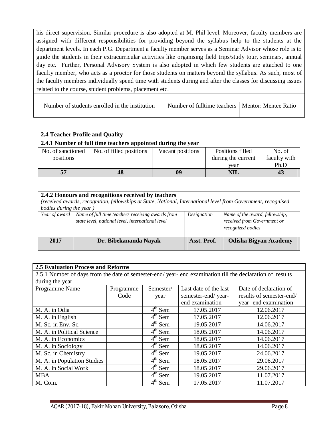his direct supervision. Similar procedure is also adopted at M. Phil level. Moreover, faculty members are assigned with different responsibilities for providing beyond the syllabus help to the students at the department levels. In each P.G. Department a faculty member serves as a Seminar Advisor whose role is to guide the students in their extracurricular activities like organising field trips/study tour, seminars, annual day etc. Further, Personal Advisory System is also adopted in which few students are attached to one faculty member, who acts as a proctor for those students on matters beyond the syllabus. As such, most of the faculty members individually spend time with students during and after the classes for discussing issues related to the course, student problems, placement etc.

| Number of students enrolled in the institution | Number of fulltime teachers   Mentor: Mentee Ratio |  |
|------------------------------------------------|----------------------------------------------------|--|
|                                                |                                                    |  |

| 2.4 Teacher Profile and Quality                              |                                                                                                                                                                                                  |                         |                  |                                                                                  |                                                                                    |  |  |  |  |  |  |
|--------------------------------------------------------------|--------------------------------------------------------------------------------------------------------------------------------------------------------------------------------------------------|-------------------------|------------------|----------------------------------------------------------------------------------|------------------------------------------------------------------------------------|--|--|--|--|--|--|
| 2.4.1 Number of full time teachers appointed during the year |                                                                                                                                                                                                  |                         |                  |                                                                                  |                                                                                    |  |  |  |  |  |  |
| No. of sanctioned<br>positions                               |                                                                                                                                                                                                  | No. of filled positions | Vacant positions | Positions filled<br>No. of<br>faculty with<br>during the current<br>Ph.D<br>year |                                                                                    |  |  |  |  |  |  |
| 57                                                           |                                                                                                                                                                                                  | 48                      |                  | <b>NIL</b>                                                                       | 43                                                                                 |  |  |  |  |  |  |
|                                                              | 2.4.2 Honours and recognitions received by teachers<br>(received awards, recognition, fellowships at State, National, International level from Government, recognised<br>bodies during the year) |                         |                  |                                                                                  |                                                                                    |  |  |  |  |  |  |
| Year of award                                                | Name of full time teachers receiving awards from<br>state level, national level, international level                                                                                             |                         |                  |                                                                                  | Name of the award, fellowship,<br>received from Government or<br>recognized bodies |  |  |  |  |  |  |
| 2017                                                         |                                                                                                                                                                                                  | Dr. Bibekananda Nayak   |                  | Asst. Prof.                                                                      | <b>Odisha Bigyan Academy</b>                                                       |  |  |  |  |  |  |

| <b>2.5 Evaluation Process and Reforms</b>                                                               |                                                                           |                                |                    |                          |  |  |  |  |  |
|---------------------------------------------------------------------------------------------------------|---------------------------------------------------------------------------|--------------------------------|--------------------|--------------------------|--|--|--|--|--|
| 2.5.1 Number of days from the date of semester-end/year-end examination till the declaration of results |                                                                           |                                |                    |                          |  |  |  |  |  |
| during the year                                                                                         |                                                                           |                                |                    |                          |  |  |  |  |  |
| Programme Name                                                                                          | Date of declaration of<br>Semester/<br>Last date of the last<br>Programme |                                |                    |                          |  |  |  |  |  |
|                                                                                                         | Code                                                                      | year                           | semester-end/year- | results of semester-end/ |  |  |  |  |  |
|                                                                                                         |                                                                           |                                | end examination    | year- end examination    |  |  |  |  |  |
| M. A. in Odia                                                                                           |                                                                           | $4th$ Sem                      | 17.05.2017         | 12.06.2017               |  |  |  |  |  |
| M. A. in English                                                                                        |                                                                           | $\overline{4}^{\text{th}}$ Sem | 17.05.2017         | 12.06.2017               |  |  |  |  |  |
| M. Sc. in Env. Sc.                                                                                      |                                                                           | $4th$ Sem                      | 19.05.2017         | 14.06.2017               |  |  |  |  |  |
| M. A. in Political Science                                                                              |                                                                           | $4th$ Sem                      | 18.05.2017         | 14.06.2017               |  |  |  |  |  |
| M. A. in Economics                                                                                      |                                                                           | $4th$ Sem                      | 18.05.2017         | 14.06.2017               |  |  |  |  |  |
| M. A. in Sociology                                                                                      |                                                                           | $4th$ Sem                      | 18.05.2017         | 14.06.2017               |  |  |  |  |  |
| M. Sc. in Chemistry                                                                                     |                                                                           | $4th$ Sem                      | 19.05.2017         | 24.06.2017               |  |  |  |  |  |
| M. A. in Population Studies                                                                             |                                                                           | $4th$ Sem                      | 18.05.2017         | 29.06.2017               |  |  |  |  |  |
| M. A. in Social Work                                                                                    |                                                                           | $\overline{4}^{\text{th}}$ Sem | 18.05.2017         | 29.06.2017               |  |  |  |  |  |
| <b>MBA</b>                                                                                              |                                                                           | $4th$ Sem                      | 19.05.2017         | 11.07.2017               |  |  |  |  |  |
| M. Com.                                                                                                 |                                                                           | $4th$ Sem                      | 17.05.2017         | 11.07.2017               |  |  |  |  |  |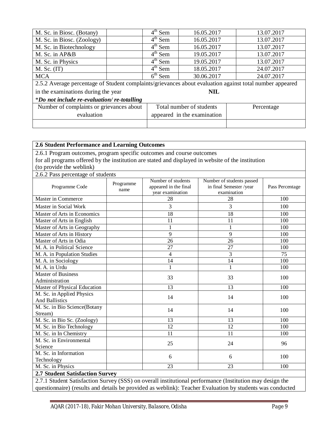| M. Sc. in Biosc. (Botany)                                                                                | $\overline{4}^{\text{th}}$ Sem | 16.05.2017                  | 13.07.2017 |  |  |
|----------------------------------------------------------------------------------------------------------|--------------------------------|-----------------------------|------------|--|--|
| M. Sc. in Biosc. (Zoology)                                                                               | $4th$ Sem                      | 16.05.2017                  | 13.07.2017 |  |  |
| M. Sc. in Biotechnology                                                                                  | $4^{\text{th}}$ Sem            | 16.05.2017                  | 13.07.2017 |  |  |
| M. Sc. in AP&B                                                                                           | $4th$ Sem                      | 19.05.2017                  | 13.07.2017 |  |  |
| M. Sc. in Physics                                                                                        | $4^{\text{th}}$ Sem            | 19.05.2017                  | 13.07.2017 |  |  |
| $M.$ Sc. $(IT)$                                                                                          | $4th$ Sem                      | 18.05.2017                  | 24.07.2017 |  |  |
| <b>MCA</b>                                                                                               | $\overline{6}^{\text{th}}$ Sem | 30.06.2017                  | 24.07.2017 |  |  |
| 2.5.2 Average percentage of Student complaints/grievances about evaluation against total number appeared |                                |                             |            |  |  |
| in the examinations during the year                                                                      |                                | <b>NIL</b>                  |            |  |  |
| *Do not include re-evaluation/re-totalling                                                               |                                |                             |            |  |  |
| Number of complaints or grievances about                                                                 |                                | Total number of students    | Percentage |  |  |
| evaluation                                                                                               |                                | appeared in the examination |            |  |  |
|                                                                                                          |                                |                             |            |  |  |

| <b>2.6 Student Performance and Learning Outcomes</b>                                                     |                   |                                                                                                                                        |              |     |  |  |  |  |  |  |
|----------------------------------------------------------------------------------------------------------|-------------------|----------------------------------------------------------------------------------------------------------------------------------------|--------------|-----|--|--|--|--|--|--|
| 2.6.1 Program outcomes, program specific outcomes and course outcomes                                    |                   |                                                                                                                                        |              |     |  |  |  |  |  |  |
| for all programs offered by the institution are stated and displayed in website of the institution       |                   |                                                                                                                                        |              |     |  |  |  |  |  |  |
| (to provide the weblink)                                                                                 |                   |                                                                                                                                        |              |     |  |  |  |  |  |  |
| 2.6.2 Pass percentage of students                                                                        |                   |                                                                                                                                        |              |     |  |  |  |  |  |  |
| Programme Code                                                                                           | Programme<br>name | Number of students<br>Number of students passed<br>appeared in the final<br>in final Semester /year<br>examination<br>year examination |              |     |  |  |  |  |  |  |
| Master in Commerce                                                                                       |                   | 28                                                                                                                                     | 28           | 100 |  |  |  |  |  |  |
| Master in Social Work                                                                                    |                   | 3                                                                                                                                      | 3            | 100 |  |  |  |  |  |  |
| Master of Arts in Economics                                                                              |                   | 18                                                                                                                                     | 18           | 100 |  |  |  |  |  |  |
| Master of Arts in English                                                                                |                   | 11                                                                                                                                     | 11           | 100 |  |  |  |  |  |  |
| Master of Arts in Geography                                                                              |                   | $\mathbf{1}$                                                                                                                           | $\mathbf{1}$ | 100 |  |  |  |  |  |  |
| Master of Arts in History                                                                                |                   | 9                                                                                                                                      | 9            | 100 |  |  |  |  |  |  |
| Master of Arts in Odia                                                                                   |                   | 26                                                                                                                                     | 26           | 100 |  |  |  |  |  |  |
| M. A. in Political Science                                                                               |                   | 27                                                                                                                                     | 27           | 100 |  |  |  |  |  |  |
| M. A. in Population Studies                                                                              |                   | $\overline{4}$                                                                                                                         | 3            | 75  |  |  |  |  |  |  |
| M. A. in Sociology                                                                                       |                   | 14                                                                                                                                     | 14           | 100 |  |  |  |  |  |  |
| M. A. in Urdu                                                                                            |                   |                                                                                                                                        | 1            | 100 |  |  |  |  |  |  |
| <b>Master of Business</b><br>Administration                                                              |                   | 33                                                                                                                                     | 33           | 100 |  |  |  |  |  |  |
| Master of Physical Education                                                                             |                   | 13                                                                                                                                     | 13           | 100 |  |  |  |  |  |  |
| M. Sc. in Applied Physics<br><b>And Ballistics</b>                                                       |                   | 14                                                                                                                                     | 14           | 100 |  |  |  |  |  |  |
| M. Sc. in Bio Science(Botany<br>Stream)                                                                  |                   | 14                                                                                                                                     | 14           | 100 |  |  |  |  |  |  |
| M. Sc. in Bio Sc. (Zoology)                                                                              |                   | 13                                                                                                                                     | 13           | 100 |  |  |  |  |  |  |
| M. Sc. in Bio Technology                                                                                 |                   | 12                                                                                                                                     | 12           | 100 |  |  |  |  |  |  |
| M. Sc. in In Chemistry                                                                                   |                   | 11                                                                                                                                     | 11           | 100 |  |  |  |  |  |  |
| M. Sc. in Environmental<br>Science                                                                       |                   | 25                                                                                                                                     | 24           | 96  |  |  |  |  |  |  |
| M. Sc. in Information<br>Technology                                                                      |                   | 6                                                                                                                                      | 6            | 100 |  |  |  |  |  |  |
| M. Sc. in Physics                                                                                        |                   | 23                                                                                                                                     | 23           | 100 |  |  |  |  |  |  |
| <b>2.7 Student Satisfaction Survey</b>                                                                   |                   |                                                                                                                                        |              |     |  |  |  |  |  |  |
| 2.7.1 Student Satisfaction Survey (SSS) on overall institutional performance (Institution may design the |                   |                                                                                                                                        |              |     |  |  |  |  |  |  |

2.7.1 Student Satisfaction Survey (SSS) on overall institutional performance (Institution may design the questionnaire) (results and details be provided as weblink): Teacher Evaluation by students was conducted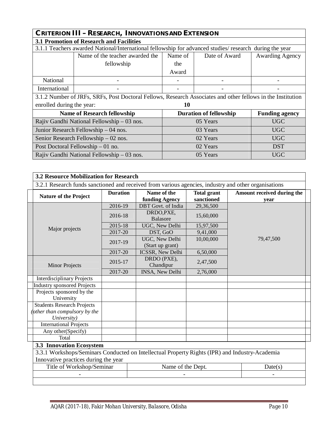| <b>CRITERION III - RESEARCH, INNOVATIONS AND EXTENSION</b>                                              |                                                                                                             |                                                        |          |            |  |  |  |  |  |
|---------------------------------------------------------------------------------------------------------|-------------------------------------------------------------------------------------------------------------|--------------------------------------------------------|----------|------------|--|--|--|--|--|
| <b>3.1 Promotion of Research and Facilities</b>                                                         |                                                                                                             |                                                        |          |            |  |  |  |  |  |
| 3.1.1 Teachers awarded National/International fellowship for advanced studies/ research during the year |                                                                                                             |                                                        |          |            |  |  |  |  |  |
|                                                                                                         | Name of the teacher awarded the<br>Name of<br>Date of Award                                                 |                                                        |          |            |  |  |  |  |  |
|                                                                                                         | fellowship                                                                                                  | the                                                    |          |            |  |  |  |  |  |
|                                                                                                         |                                                                                                             | Award                                                  |          |            |  |  |  |  |  |
| National                                                                                                |                                                                                                             |                                                        |          |            |  |  |  |  |  |
| International                                                                                           |                                                                                                             |                                                        |          |            |  |  |  |  |  |
|                                                                                                         | 3.1.2 Number of JRFs, SRFs, Post Doctoral Fellows, Research Associates and other fellows in the Institution |                                                        |          |            |  |  |  |  |  |
| enrolled during the year:                                                                               |                                                                                                             | 10                                                     |          |            |  |  |  |  |  |
|                                                                                                         | <b>Name of Research fellowship</b>                                                                          | <b>Funding agency</b><br><b>Duration of fellowship</b> |          |            |  |  |  |  |  |
|                                                                                                         | Rajiv Gandhi National Fellowship – 03 nos.                                                                  |                                                        | 05 Years | <b>UGC</b> |  |  |  |  |  |
|                                                                                                         | Junior Research Fellowship – 04 nos.                                                                        |                                                        | 03 Years | <b>UGC</b> |  |  |  |  |  |
|                                                                                                         | Senior Research Fellowship – 02 nos.                                                                        |                                                        | 02 Years | <b>UGC</b> |  |  |  |  |  |
|                                                                                                         | Post Doctoral Fellowship $-01$ no.                                                                          |                                                        | 02 Years | <b>DST</b> |  |  |  |  |  |
|                                                                                                         | Rajiv Gandhi National Fellowship – 03 nos.                                                                  |                                                        | 05 Years | <b>UGC</b> |  |  |  |  |  |

|                                                                                                                                        | <b>Duration</b> | Name of the                        | <b>Total grant</b> | Amount received during the |
|----------------------------------------------------------------------------------------------------------------------------------------|-----------------|------------------------------------|--------------------|----------------------------|
| <b>Nature of the Project</b>                                                                                                           |                 | funding Agency                     | sanctioned         | year                       |
|                                                                                                                                        | 2016-19         | DBT Govt. of India                 | 29,36,500          |                            |
| Major projects                                                                                                                         | 2016-18         | DRDO, PXE,<br><b>Balasore</b>      | 15,60,000          |                            |
|                                                                                                                                        | 2015-18         | UGC, New Delhi                     | 15,97,500          |                            |
|                                                                                                                                        | 2017-20         | DST, GoO                           | 9,41,000           |                            |
|                                                                                                                                        | 2017-19         | UGC, New Delhi<br>(Start up grant) | 10,00,000          | 79,47,500                  |
|                                                                                                                                        | 2017-20         | ICSSR, New Delhi                   | 6,50,000           |                            |
| <b>Minor Projects</b>                                                                                                                  | 2015-17         | DRDO (PXE),<br>Chandipur           | 2,47,500           |                            |
|                                                                                                                                        | 2017-20         | INSA, New Delhi                    | 2,76,000           |                            |
| <b>Interdisciplinary Projects</b>                                                                                                      |                 |                                    |                    |                            |
| <b>Industry sponsored Projects</b>                                                                                                     |                 |                                    |                    |                            |
| Projects sponsored by the<br>University                                                                                                |                 |                                    |                    |                            |
| <b>Students Research Projects</b>                                                                                                      |                 |                                    |                    |                            |
| (other than compulsory by the                                                                                                          |                 |                                    |                    |                            |
| University)                                                                                                                            |                 |                                    |                    |                            |
| <b>International Projects</b>                                                                                                          |                 |                                    |                    |                            |
| Any other(Specify)                                                                                                                     |                 |                                    |                    |                            |
| Total                                                                                                                                  |                 |                                    |                    |                            |
| <b>3.3 Innovation Ecosystem</b>                                                                                                        |                 |                                    |                    |                            |
| 3.3.1 Workshops/Seminars Conducted on Intellectual Property Rights (IPR) and Industry-Academia<br>Innovative practices during the year |                 |                                    |                    |                            |
| Title of Workshop/Seminar                                                                                                              |                 | Name of the Dept.                  |                    | Date(s)                    |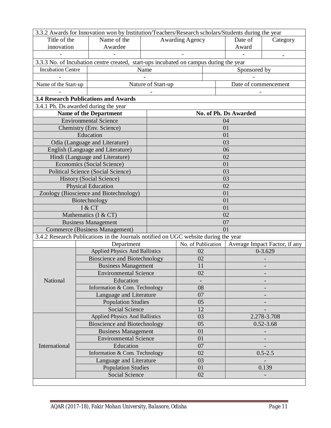| 3.3.2 Awards for Innovation won by Institution/Teachers/Research scholars/Students during the year |        |                                             |                                                                                       |                        |    |                      |               |  |  |  |  |
|----------------------------------------------------------------------------------------------------|--------|---------------------------------------------|---------------------------------------------------------------------------------------|------------------------|----|----------------------|---------------|--|--|--|--|
| Title of the                                                                                       |        | Name of the                                 |                                                                                       | <b>Awarding Agency</b> |    | Date of              | Category      |  |  |  |  |
| innovation                                                                                         |        | Awardee                                     |                                                                                       |                        |    | Award                |               |  |  |  |  |
|                                                                                                    |        |                                             |                                                                                       |                        |    |                      |               |  |  |  |  |
|                                                                                                    |        |                                             | 3.3.3 No. of Incubation centre created, start-ups incubated on campus during the year |                        |    |                      |               |  |  |  |  |
| <b>Incubation Centre</b>                                                                           |        | Name                                        |                                                                                       |                        |    | Sponsored by         |               |  |  |  |  |
|                                                                                                    |        |                                             |                                                                                       |                        |    |                      |               |  |  |  |  |
| Name of the Start-up                                                                               |        |                                             | Nature of Start-up                                                                    |                        |    | Date of commencement |               |  |  |  |  |
|                                                                                                    |        |                                             |                                                                                       |                        |    |                      |               |  |  |  |  |
|                                                                                                    |        | <b>3.4 Research Publications and Awards</b> |                                                                                       |                        |    |                      |               |  |  |  |  |
| 3.4.1 Ph. Ds awarded during the year                                                               |        |                                             |                                                                                       |                        |    |                      |               |  |  |  |  |
|                                                                                                    |        | <b>Name of the Department</b>               |                                                                                       | No. of Ph. Ds Awarded  |    |                      |               |  |  |  |  |
|                                                                                                    |        | <b>Environmental Science</b>                |                                                                                       |                        |    | 04                   |               |  |  |  |  |
|                                                                                                    |        | Chemistry (Env. Science)                    |                                                                                       |                        |    | 01                   |               |  |  |  |  |
|                                                                                                    |        | Education                                   |                                                                                       |                        |    | 01                   |               |  |  |  |  |
|                                                                                                    |        | Odia (Language and Literature)              |                                                                                       |                        |    | 03                   |               |  |  |  |  |
|                                                                                                    |        | English (Language and Literature)           |                                                                                       |                        |    | 06                   |               |  |  |  |  |
|                                                                                                    |        | Hindi (Language and Literature)             |                                                                                       |                        |    | 02                   |               |  |  |  |  |
|                                                                                                    |        | Economics (Social Science)                  |                                                                                       |                        |    | 01                   |               |  |  |  |  |
|                                                                                                    |        | <b>Political Science (Social Science)</b>   |                                                                                       |                        |    | 03                   |               |  |  |  |  |
|                                                                                                    |        | <b>History (Social Science)</b>             |                                                                                       |                        |    | 03                   |               |  |  |  |  |
|                                                                                                    |        | <b>Physical Education</b>                   |                                                                                       |                        |    | 02                   |               |  |  |  |  |
|                                                                                                    |        | Zoology (Bioscience and Biotechnology)      |                                                                                       |                        |    | 01                   |               |  |  |  |  |
|                                                                                                    |        | Biotechnology                               |                                                                                       |                        |    | 01                   |               |  |  |  |  |
|                                                                                                    | I & CT |                                             |                                                                                       |                        | 01 |                      |               |  |  |  |  |
|                                                                                                    |        | Mathematics (I & CT)                        |                                                                                       |                        |    | 02                   |               |  |  |  |  |
|                                                                                                    |        | <b>Business Management</b>                  |                                                                                       |                        |    | 07                   |               |  |  |  |  |
|                                                                                                    |        | Commerce (Business Management)              |                                                                                       |                        |    | 01                   |               |  |  |  |  |
|                                                                                                    |        |                                             | 3.4.2 Research Publications in the Journals notified on UGC website during the year   |                        |    |                      |               |  |  |  |  |
|                                                                                                    |        | Department                                  | No. of Publication<br>Average Impact Factor, if any                                   |                        |    |                      |               |  |  |  |  |
|                                                                                                    |        | <b>Applied Physics And Ballistics</b>       |                                                                                       | 02                     |    |                      | $0 - 3.629$   |  |  |  |  |
|                                                                                                    |        | <b>Bioscience and Biotechnology</b>         |                                                                                       | 02                     |    |                      |               |  |  |  |  |
|                                                                                                    |        | <b>Business Management</b>                  |                                                                                       | 11                     |    |                      |               |  |  |  |  |
|                                                                                                    |        | <b>Environmental Science</b>                |                                                                                       | 02                     |    |                      |               |  |  |  |  |
| National                                                                                           |        | Education                                   |                                                                                       |                        |    |                      |               |  |  |  |  |
|                                                                                                    |        | Information & Com. Technology               |                                                                                       | 08                     |    |                      |               |  |  |  |  |
|                                                                                                    |        | Language and Literature                     |                                                                                       | 07                     |    |                      |               |  |  |  |  |
|                                                                                                    |        | <b>Population Studies</b>                   |                                                                                       | 05                     |    |                      |               |  |  |  |  |
|                                                                                                    |        | <b>Social Science</b>                       |                                                                                       | 12                     |    |                      |               |  |  |  |  |
|                                                                                                    |        | <b>Applied Physics And Ballistics</b>       |                                                                                       | 03                     |    |                      | 2.278-3.708   |  |  |  |  |
|                                                                                                    |        | <b>Bioscience and Biotechnology</b>         |                                                                                       | 05                     |    |                      | $0.52 - 3.68$ |  |  |  |  |
|                                                                                                    |        | <b>Business Management</b>                  |                                                                                       | 01                     |    |                      |               |  |  |  |  |
|                                                                                                    |        | <b>Environmental Science</b>                |                                                                                       | 01                     |    |                      |               |  |  |  |  |
| International                                                                                      |        | Education                                   |                                                                                       | 07                     |    |                      |               |  |  |  |  |
|                                                                                                    |        | Information & Com. Technology               |                                                                                       | 02                     |    |                      | $0.5 - 2.5$   |  |  |  |  |
|                                                                                                    |        | Language and Literature                     |                                                                                       | 03                     |    |                      |               |  |  |  |  |
|                                                                                                    |        | <b>Population Studies</b>                   |                                                                                       | 01                     |    |                      | 0.139         |  |  |  |  |
|                                                                                                    |        | Social Science                              |                                                                                       | 02                     |    |                      |               |  |  |  |  |
|                                                                                                    |        |                                             |                                                                                       |                        |    |                      |               |  |  |  |  |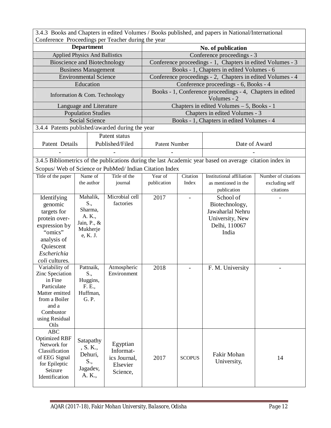| 3.4.3 Books and Chapters in edited Volumes / Books published, and papers in National/International |  |
|----------------------------------------------------------------------------------------------------|--|
| Conference Proceedings per Teacher during the year                                                 |  |

|                                                         | <b>Department</b>                     | roccount por reacher caring | No. of publication                                         |               |                                                                                                          |                                                            |  |  |  |  |
|---------------------------------------------------------|---------------------------------------|-----------------------------|------------------------------------------------------------|---------------|----------------------------------------------------------------------------------------------------------|------------------------------------------------------------|--|--|--|--|
|                                                         | <b>Applied Physics And Ballistics</b> |                             |                                                            |               | Conference proceedings - 3                                                                               |                                                            |  |  |  |  |
|                                                         | <b>Bioscience and Biotechnology</b>   |                             |                                                            |               |                                                                                                          | Conference proceedings - 1, Chapters in edited Volumes - 3 |  |  |  |  |
|                                                         | <b>Business Management</b>            |                             |                                                            |               | Books - 1, Chapters in edited Volumes - 6                                                                |                                                            |  |  |  |  |
|                                                         | <b>Environmental Science</b>          |                             | Conference proceedings - 2, Chapters in edited Volumes - 4 |               |                                                                                                          |                                                            |  |  |  |  |
|                                                         | Education                             |                             | Conference proceedings - 6, Books - 4                      |               |                                                                                                          |                                                            |  |  |  |  |
|                                                         |                                       |                             | Books - 1, Conference proceedings - 4, Chapters in edited  |               |                                                                                                          |                                                            |  |  |  |  |
|                                                         | Information & Com. Technology         |                             | Volumes - 2                                                |               |                                                                                                          |                                                            |  |  |  |  |
|                                                         | Language and Literature               |                             |                                                            |               | Chapters in edited Volumes - 5, Books - 1                                                                |                                                            |  |  |  |  |
|                                                         | <b>Population Studies</b>             |                             |                                                            |               | Chapters in edited Volumes - 3                                                                           |                                                            |  |  |  |  |
|                                                         | <b>Social Science</b>                 |                             | Books - 1, Chapters in edited Volumes - 4                  |               |                                                                                                          |                                                            |  |  |  |  |
| 3.4.4 Patents published/awarded during the year         |                                       |                             |                                                            |               |                                                                                                          |                                                            |  |  |  |  |
|                                                         |                                       | Patent status               |                                                            |               |                                                                                                          |                                                            |  |  |  |  |
| Patent Details                                          |                                       | Published/Filed             | Patent Number                                              |               | Date of Award                                                                                            |                                                            |  |  |  |  |
|                                                         |                                       |                             |                                                            |               |                                                                                                          |                                                            |  |  |  |  |
|                                                         |                                       |                             |                                                            |               | 3.4.5 Bibliometrics of the publications during the last Academic year based on average citation index in |                                                            |  |  |  |  |
| Scopus/ Web of Science or PubMed/ Indian Citation Index |                                       |                             |                                                            |               |                                                                                                          |                                                            |  |  |  |  |
| Title of the paper                                      | Name of                               | Title of the                | Year of                                                    | Citation      | <b>Institutional affiliation</b>                                                                         | Number of citations                                        |  |  |  |  |
|                                                         | the author                            | journal                     | publication                                                | Index         | as mentioned in the                                                                                      | excluding self                                             |  |  |  |  |
|                                                         |                                       |                             |                                                            |               | publication                                                                                              | citations                                                  |  |  |  |  |
| Identifying                                             | Mahalik,                              | Microbial cell              | 2017                                                       |               | School of                                                                                                |                                                            |  |  |  |  |
| genomic                                                 | S.,                                   | factories                   |                                                            |               | Biotechnology,                                                                                           |                                                            |  |  |  |  |
| targets for                                             | Sharma,                               |                             |                                                            |               | Jawaharlal Nehru                                                                                         |                                                            |  |  |  |  |
| protein over-                                           | A. K.,                                |                             |                                                            |               | University, New                                                                                          |                                                            |  |  |  |  |
| expression by                                           | Jain, P., &                           |                             |                                                            |               | Delhi, 110067                                                                                            |                                                            |  |  |  |  |
| "omics"                                                 | Mukherje<br>e, K. J.                  |                             |                                                            |               | India                                                                                                    |                                                            |  |  |  |  |
| analysis of                                             |                                       |                             |                                                            |               |                                                                                                          |                                                            |  |  |  |  |
| Quiescent                                               |                                       |                             |                                                            |               |                                                                                                          |                                                            |  |  |  |  |
| Escherichia                                             |                                       |                             |                                                            |               |                                                                                                          |                                                            |  |  |  |  |
| coli cultures.                                          |                                       |                             |                                                            |               |                                                                                                          |                                                            |  |  |  |  |
| Variability of                                          | Pattnaik,                             | Atmospheric                 | 2018                                                       |               | F. M. University                                                                                         |                                                            |  |  |  |  |
| Zinc Speciation                                         | S.,                                   | Environment                 |                                                            |               |                                                                                                          |                                                            |  |  |  |  |
| in Fine                                                 | Huggins,                              |                             |                                                            |               |                                                                                                          |                                                            |  |  |  |  |
| Particulate                                             | F. E.,                                |                             |                                                            |               |                                                                                                          |                                                            |  |  |  |  |
| Matter emitted                                          | Huffman,                              |                             |                                                            |               |                                                                                                          |                                                            |  |  |  |  |
| from a Boiler                                           | G. P.                                 |                             |                                                            |               |                                                                                                          |                                                            |  |  |  |  |
| and a<br>Combustor                                      |                                       |                             |                                                            |               |                                                                                                          |                                                            |  |  |  |  |
| using Residual                                          |                                       |                             |                                                            |               |                                                                                                          |                                                            |  |  |  |  |
| Oils                                                    |                                       |                             |                                                            |               |                                                                                                          |                                                            |  |  |  |  |
| <b>ABC</b>                                              |                                       |                             |                                                            |               |                                                                                                          |                                                            |  |  |  |  |
| <b>Optimized RBF</b>                                    |                                       |                             |                                                            |               |                                                                                                          |                                                            |  |  |  |  |
| Network for                                             | Satapathy                             | Egyptian                    |                                                            |               |                                                                                                          |                                                            |  |  |  |  |
| Classification                                          | , S. K.,                              | Informat-                   |                                                            |               |                                                                                                          |                                                            |  |  |  |  |
| of EEG Signal                                           | Dehuri,                               | ics Journal,                | 2017                                                       | <b>SCOPUS</b> | Fakir Mohan                                                                                              | 14                                                         |  |  |  |  |
| for Epileptic                                           | S.,                                   | Elsevier                    |                                                            |               | University,                                                                                              |                                                            |  |  |  |  |
| Seizure                                                 | Jagadev,                              | Science,                    |                                                            |               |                                                                                                          |                                                            |  |  |  |  |
| Identification                                          | A. K.,                                |                             |                                                            |               |                                                                                                          |                                                            |  |  |  |  |
|                                                         |                                       |                             |                                                            |               |                                                                                                          |                                                            |  |  |  |  |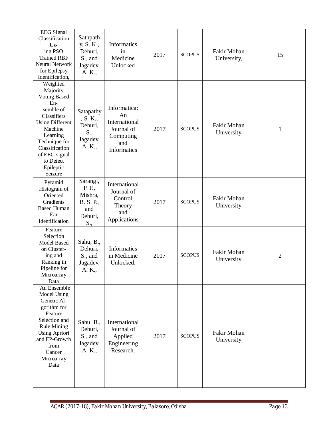| <b>EEG</b> Signal<br>Classification<br>$Us -$<br>ing PSO<br><b>Trained RBF</b><br><b>Neural Network</b><br>for Epilepsy<br>Identification,                                                                               | Sathpath<br>y, S. K.,<br>Dehuri,<br>S., and<br>Jagadev,<br>A. K.,   | Informatics<br>in<br>Medicine<br>Unlocked                                            | 2017 | <b>SCOPUS</b> | Fakir Mohan<br>University, | 15             |
|--------------------------------------------------------------------------------------------------------------------------------------------------------------------------------------------------------------------------|---------------------------------------------------------------------|--------------------------------------------------------------------------------------|------|---------------|----------------------------|----------------|
| Weighted<br>Majority<br><b>Voting Based</b><br>En-<br>semble of<br>Classifiers<br><b>Using Different</b><br>Machine<br>Learning<br>Technique for<br>Classification<br>of EEG signal<br>to Detect<br>Epileptic<br>Seizure | Satapathy<br>, S. K.,<br>Dehuri,<br>S.,<br>Jagadev,<br>A. K.,       | Informatica:<br>An<br>International<br>Journal of<br>Computing<br>and<br>Informatics | 2017 | <b>SCOPUS</b> | Fakir Mohan<br>University  | 1              |
| Pyramid<br>Histogram of<br>Oriented<br>Gradients<br><b>Based Human</b><br>Ear<br>Identification                                                                                                                          | Sarangi,<br>P. P.,<br>Mishra,<br>B. S. P.,<br>and<br>Dehuri,<br>S., | International<br>Journal of<br>Control<br>Theory<br>and<br>Applications              | 2017 | <b>SCOPUS</b> | Fakir Mohan<br>University  |                |
| Feature<br>Selection<br><b>Model Based</b><br>on Cluster-<br>ing and<br>Ranking in<br>Pipeline for<br>Microarray<br>Data                                                                                                 | Sahu, B.,<br>Dehuri,<br>S., and<br>Jagadev,<br>A. K.,               | Informatics<br>in Medicine<br>Unlocked,                                              | 2017 | <b>SCOPUS</b> | Fakir Mohan<br>University  | $\overline{2}$ |
| "An Ensemble<br>Model Using<br>Genetic Al-<br>gorithm for<br>Feature<br>Selection and<br><b>Rule Mining</b><br><b>Using Apriori</b><br>and FP-Growth<br>from<br>Cancer<br>Microarray<br>Data                             | Sahu, B.,<br>Dehuri,<br>S., and<br>Jagadev,<br>A. K.,               | International<br>Journal of<br>Applied<br>Engineering<br>Research,                   | 2017 | <b>SCOPUS</b> | Fakir Mohan<br>University  |                |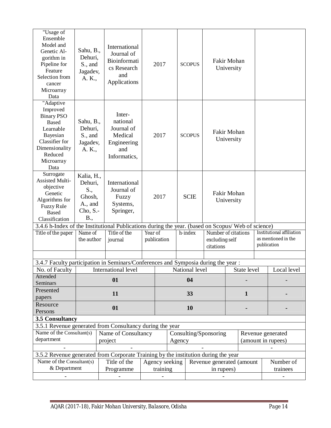| "Usage of<br>Ensemble<br>Model and<br>Genetic Al-<br>gorithm in<br>Pipeline for<br>Feature<br>Selection from<br>cancer<br>Microarray<br>Data             | Sahu, B.,<br>Dehuri,<br>S., and<br>Jagadev,<br>A. K.,                                                                                                                           | International<br>Journal of<br>Bioinformati<br>cs Research<br>and<br>Applications |  | 2017                  |        | <b>SCOPUS</b>  | Fakir Mohan<br>University   |  |                                                                                        |  |                    |  |
|----------------------------------------------------------------------------------------------------------------------------------------------------------|---------------------------------------------------------------------------------------------------------------------------------------------------------------------------------|-----------------------------------------------------------------------------------|--|-----------------------|--------|----------------|-----------------------------|--|----------------------------------------------------------------------------------------|--|--------------------|--|
| "Adaptive<br>Improved<br><b>Binary PSO</b><br><b>Based</b><br>Learnable<br>Bayesian<br>Classifier for<br>Dimensionality<br>Reduced<br>Microarray<br>Data | Sahu, B.,<br>Dehuri,<br>S., and<br>Jagadev,<br>A. K.,                                                                                                                           | Inter-<br>national<br>Journal of<br>Medical<br>Engineering<br>and<br>Informatics, |  | 2017<br><b>SCOPUS</b> |        |                | Fakir Mohan<br>University   |  |                                                                                        |  |                    |  |
| Surrogate<br><b>Assisted Multi-</b><br>objective<br>Genetic<br>Algorithms for<br><b>Fuzzy Rule</b><br><b>Based</b><br>Classification                     | Kalia, H.,<br>Dehuri,<br>S.,<br>Ghosh,<br>A., and<br>Cho, S.<br>B.,                                                                                                             | International<br>Journal of<br>Fuzzy<br>Systems,<br>Springer,                     |  | 2017                  |        | <b>SCIE</b>    | Fakir Mohan<br>University   |  |                                                                                        |  |                    |  |
| Title of the paper                                                                                                                                       | 3.4.6 h-Index of the Institutional Publications during the year. (based on Scopus/Web of science)<br>Title of the<br>Year of<br>Name of<br>the author<br>publication<br>journal |                                                                                   |  |                       |        | h-index        | excluding self<br>citations |  | Institutional affiliation<br>Number of citations<br>as mentioned in the<br>publication |  |                    |  |
|                                                                                                                                                          |                                                                                                                                                                                 |                                                                                   |  |                       |        |                |                             |  |                                                                                        |  |                    |  |
| 3.4.7 Faculty participation in Seminars/Conferences and Symposia during the year :                                                                       |                                                                                                                                                                                 |                                                                                   |  |                       |        |                |                             |  |                                                                                        |  |                    |  |
| No. of Faculty                                                                                                                                           |                                                                                                                                                                                 | International level                                                               |  |                       |        | National level |                             |  | State level                                                                            |  | Local level        |  |
| Attended<br>Seminars                                                                                                                                     |                                                                                                                                                                                 | 01                                                                                |  |                       |        | 04             |                             |  |                                                                                        |  |                    |  |
| Presented                                                                                                                                                |                                                                                                                                                                                 |                                                                                   |  |                       |        |                |                             |  |                                                                                        |  |                    |  |
| papers                                                                                                                                                   |                                                                                                                                                                                 | 11                                                                                |  |                       |        | 33             |                             |  | $\mathbf{1}$                                                                           |  |                    |  |
| Resource                                                                                                                                                 |                                                                                                                                                                                 | 01                                                                                |  |                       |        | 10             |                             |  |                                                                                        |  |                    |  |
| Persons                                                                                                                                                  |                                                                                                                                                                                 |                                                                                   |  |                       |        |                |                             |  |                                                                                        |  |                    |  |
| 3.5 Consultancy                                                                                                                                          |                                                                                                                                                                                 |                                                                                   |  |                       |        |                |                             |  |                                                                                        |  |                    |  |
| 3.5.1 Revenue generated from Consultancy during the year                                                                                                 |                                                                                                                                                                                 |                                                                                   |  |                       |        |                |                             |  |                                                                                        |  |                    |  |
| Name of the Consultant(s)                                                                                                                                |                                                                                                                                                                                 | Name of Consultancy                                                               |  |                       |        |                | Consulting/Sponsoring       |  |                                                                                        |  | Revenue generated  |  |
| department                                                                                                                                               |                                                                                                                                                                                 | project                                                                           |  |                       | Agency |                |                             |  |                                                                                        |  | (amount in rupees) |  |
|                                                                                                                                                          |                                                                                                                                                                                 |                                                                                   |  |                       |        |                |                             |  |                                                                                        |  |                    |  |
| 3.5.2 Revenue generated from Corporate Training by the institution during the year<br>Name of the Consultant(s)                                          |                                                                                                                                                                                 |                                                                                   |  |                       |        |                |                             |  |                                                                                        |  |                    |  |
| & Department                                                                                                                                             |                                                                                                                                                                                 | Title of the                                                                      |  | Agency seeking        |        |                | Revenue generated (amount   |  |                                                                                        |  | Number of          |  |
|                                                                                                                                                          |                                                                                                                                                                                 | Programme                                                                         |  | training              |        |                | in rupees)                  |  |                                                                                        |  | trainees           |  |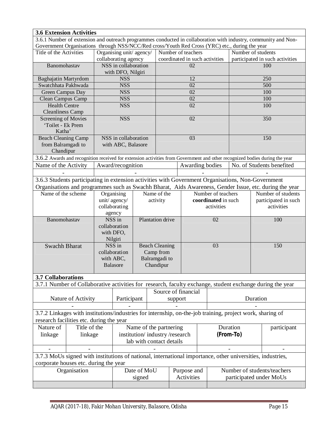| <b>3.6 Extension Activities</b>                                                                                           |                    |                          |                         |                       |                               |                                                      |                     |  |                                                       |           |                                            |                                                                                                                                                                                                                                                                                                                                                                                                             |  |  |
|---------------------------------------------------------------------------------------------------------------------------|--------------------|--------------------------|-------------------------|-----------------------|-------------------------------|------------------------------------------------------|---------------------|--|-------------------------------------------------------|-----------|--------------------------------------------|-------------------------------------------------------------------------------------------------------------------------------------------------------------------------------------------------------------------------------------------------------------------------------------------------------------------------------------------------------------------------------------------------------------|--|--|
|                                                                                                                           |                    |                          |                         |                       |                               |                                                      |                     |  |                                                       |           |                                            | 3.6.1 Number of extension and outreach programmes conducted in collaboration with industry, community and Non-                                                                                                                                                                                                                                                                                              |  |  |
| Government Organisations through NSS/NCC/Red cross/Youth Red Cross (YRC) etc., during the year<br>Title of the Activities |                    |                          | Organising unit/agency/ |                       |                               |                                                      |                     |  |                                                       |           |                                            |                                                                                                                                                                                                                                                                                                                                                                                                             |  |  |
|                                                                                                                           |                    |                          | collaborating agency    |                       |                               | Number of teachers<br>coordinated in such activities |                     |  | Number of students<br>participated in such activities |           |                                            |                                                                                                                                                                                                                                                                                                                                                                                                             |  |  |
| Banomohastav                                                                                                              |                    |                          | NSS in collaboration    |                       |                               |                                                      | 02                  |  |                                                       |           |                                            | 100                                                                                                                                                                                                                                                                                                                                                                                                         |  |  |
|                                                                                                                           |                    |                          | with DFO, Nilgiri       |                       |                               |                                                      |                     |  |                                                       |           |                                            |                                                                                                                                                                                                                                                                                                                                                                                                             |  |  |
| Baghajatin Martyrdom                                                                                                      |                    |                          | <b>NSS</b>              |                       |                               |                                                      | 12                  |  |                                                       |           |                                            | 250                                                                                                                                                                                                                                                                                                                                                                                                         |  |  |
| Swatchhata Pakhwada                                                                                                       |                    |                          | <b>NSS</b>              |                       |                               | 02                                                   |                     |  |                                                       |           | 500                                        |                                                                                                                                                                                                                                                                                                                                                                                                             |  |  |
| Green Campus Day                                                                                                          |                    |                          | <b>NSS</b>              |                       |                               |                                                      | 02                  |  |                                                       |           |                                            | 100                                                                                                                                                                                                                                                                                                                                                                                                         |  |  |
| Clean Campus Camp                                                                                                         |                    |                          | <b>NSS</b>              |                       |                               |                                                      | 02                  |  |                                                       |           |                                            | 100                                                                                                                                                                                                                                                                                                                                                                                                         |  |  |
| <b>Health Centre</b>                                                                                                      |                    |                          | <b>NSS</b>              |                       |                               |                                                      | 02                  |  |                                                       |           |                                            | 100                                                                                                                                                                                                                                                                                                                                                                                                         |  |  |
| <b>Cleanliness Camp</b>                                                                                                   |                    |                          |                         |                       |                               |                                                      |                     |  |                                                       |           |                                            |                                                                                                                                                                                                                                                                                                                                                                                                             |  |  |
| Screening of Movies                                                                                                       |                    |                          | <b>NSS</b>              |                       |                               |                                                      | 02                  |  |                                                       |           |                                            | 350                                                                                                                                                                                                                                                                                                                                                                                                         |  |  |
| 'Toilet - Ek Prem                                                                                                         |                    |                          |                         |                       |                               |                                                      |                     |  |                                                       |           |                                            |                                                                                                                                                                                                                                                                                                                                                                                                             |  |  |
| Katha'                                                                                                                    |                    |                          |                         |                       |                               |                                                      |                     |  |                                                       |           |                                            |                                                                                                                                                                                                                                                                                                                                                                                                             |  |  |
| <b>Beach Cleaning Camp</b>                                                                                                |                    |                          | NSS in collaboration    |                       |                               |                                                      | 03                  |  |                                                       |           |                                            |                                                                                                                                                                                                                                                                                                                                                                                                             |  |  |
| from Balramgadi to                                                                                                        |                    |                          | with ABC, Balasore      |                       |                               |                                                      |                     |  |                                                       |           |                                            |                                                                                                                                                                                                                                                                                                                                                                                                             |  |  |
| Chandipur                                                                                                                 |                    |                          |                         |                       |                               |                                                      |                     |  |                                                       |           |                                            |                                                                                                                                                                                                                                                                                                                                                                                                             |  |  |
|                                                                                                                           |                    |                          |                         |                       |                               |                                                      |                     |  |                                                       |           |                                            |                                                                                                                                                                                                                                                                                                                                                                                                             |  |  |
| Name of the Activity                                                                                                      |                    |                          | Award/recognition       |                       |                               |                                                      | Awarding bodies     |  |                                                       |           |                                            |                                                                                                                                                                                                                                                                                                                                                                                                             |  |  |
|                                                                                                                           |                    |                          |                         |                       |                               |                                                      |                     |  |                                                       |           |                                            |                                                                                                                                                                                                                                                                                                                                                                                                             |  |  |
| 3.6.3 Students participating in extension activities with Government Organisations, Non-Government                        |                    |                          |                         |                       |                               |                                                      |                     |  |                                                       |           |                                            |                                                                                                                                                                                                                                                                                                                                                                                                             |  |  |
|                                                                                                                           |                    |                          |                         |                       |                               |                                                      |                     |  |                                                       |           |                                            |                                                                                                                                                                                                                                                                                                                                                                                                             |  |  |
| Name of the scheme                                                                                                        |                    |                          | Organising              |                       | Name of the                   |                                                      |                     |  | Number of teachers                                    |           | Number of students<br>participated in such |                                                                                                                                                                                                                                                                                                                                                                                                             |  |  |
|                                                                                                                           |                    |                          | unit/agency/            |                       | activity                      |                                                      |                     |  | coordinated in such                                   |           |                                            |                                                                                                                                                                                                                                                                                                                                                                                                             |  |  |
|                                                                                                                           |                    |                          | collaborating           |                       |                               |                                                      |                     |  | activities                                            |           | activities                                 |                                                                                                                                                                                                                                                                                                                                                                                                             |  |  |
| Banomohastav                                                                                                              |                    |                          | agency<br>NSS in        |                       | Plantation drive              |                                                      |                     |  | 02                                                    |           |                                            |                                                                                                                                                                                                                                                                                                                                                                                                             |  |  |
|                                                                                                                           |                    |                          | collaboration           |                       |                               |                                                      |                     |  |                                                       |           |                                            |                                                                                                                                                                                                                                                                                                                                                                                                             |  |  |
|                                                                                                                           |                    |                          | with DFO,               |                       |                               |                                                      |                     |  |                                                       |           |                                            |                                                                                                                                                                                                                                                                                                                                                                                                             |  |  |
|                                                                                                                           |                    |                          | Nilgiri                 |                       |                               |                                                      |                     |  |                                                       |           |                                            |                                                                                                                                                                                                                                                                                                                                                                                                             |  |  |
| <b>Swachh Bharat</b>                                                                                                      |                    |                          | NSS in                  | <b>Beach Cleaning</b> |                               |                                                      | 03                  |  |                                                       | 150       |                                            |                                                                                                                                                                                                                                                                                                                                                                                                             |  |  |
|                                                                                                                           |                    |                          | collaboration           |                       | Camp from                     |                                                      |                     |  |                                                       |           |                                            |                                                                                                                                                                                                                                                                                                                                                                                                             |  |  |
|                                                                                                                           |                    |                          | with ABC,               |                       | Balramgadi to                 |                                                      |                     |  |                                                       |           |                                            |                                                                                                                                                                                                                                                                                                                                                                                                             |  |  |
|                                                                                                                           |                    |                          | <b>Balasore</b>         |                       | Chandipur                     |                                                      |                     |  |                                                       |           |                                            |                                                                                                                                                                                                                                                                                                                                                                                                             |  |  |
|                                                                                                                           |                    |                          |                         |                       |                               |                                                      |                     |  |                                                       |           |                                            |                                                                                                                                                                                                                                                                                                                                                                                                             |  |  |
| <b>3.7 Collaborations</b>                                                                                                 |                    |                          |                         |                       |                               |                                                      |                     |  |                                                       |           |                                            |                                                                                                                                                                                                                                                                                                                                                                                                             |  |  |
|                                                                                                                           |                    |                          |                         |                       |                               |                                                      |                     |  |                                                       |           |                                            |                                                                                                                                                                                                                                                                                                                                                                                                             |  |  |
|                                                                                                                           |                    |                          |                         |                       |                               |                                                      | Source of financial |  |                                                       |           |                                            |                                                                                                                                                                                                                                                                                                                                                                                                             |  |  |
|                                                                                                                           | Nature of Activity |                          | Participant             |                       |                               | support                                              |                     |  |                                                       |           | Duration                                   | 150<br>3.6.2 Awards and recognition received for extension activities from Government and other recognized bodies during the year<br>No. of Students benefited<br>Organisations and programmes such as Swachh Bharat, Aids Awareness, Gender Issue, etc. during the year<br>100<br>3.7.1 Number of Collaborative activities for research, faculty exchange, student exchange during the year<br>participant |  |  |
|                                                                                                                           |                    |                          |                         |                       |                               |                                                      |                     |  |                                                       |           |                                            |                                                                                                                                                                                                                                                                                                                                                                                                             |  |  |
| 3.7.2 Linkages with institutions/industries for internship, on-the-job training, project work, sharing of                 |                    |                          |                         |                       |                               |                                                      |                     |  |                                                       |           |                                            |                                                                                                                                                                                                                                                                                                                                                                                                             |  |  |
| research facilities etc. during the year                                                                                  |                    |                          |                         |                       |                               |                                                      |                     |  |                                                       |           |                                            |                                                                                                                                                                                                                                                                                                                                                                                                             |  |  |
| Nature of                                                                                                                 | Title of the       |                          |                         |                       | Name of the partnering        |                                                      |                     |  |                                                       | Duration  |                                            |                                                                                                                                                                                                                                                                                                                                                                                                             |  |  |
| linkage                                                                                                                   | linkage            |                          |                         |                       | institution/industry/research |                                                      |                     |  |                                                       | (From-To) |                                            |                                                                                                                                                                                                                                                                                                                                                                                                             |  |  |
|                                                                                                                           |                    | lab with contact details |                         |                       |                               |                                                      |                     |  |                                                       |           |                                            |                                                                                                                                                                                                                                                                                                                                                                                                             |  |  |
|                                                                                                                           |                    |                          |                         |                       |                               |                                                      |                     |  |                                                       |           |                                            |                                                                                                                                                                                                                                                                                                                                                                                                             |  |  |
| 3.7.3 MoUs signed with institutions of national, international importance, other universities, industries,                |                    |                          |                         |                       |                               |                                                      |                     |  |                                                       |           |                                            |                                                                                                                                                                                                                                                                                                                                                                                                             |  |  |
| corporate houses etc. during the year                                                                                     |                    |                          |                         |                       |                               |                                                      |                     |  |                                                       |           |                                            |                                                                                                                                                                                                                                                                                                                                                                                                             |  |  |
|                                                                                                                           | Organisation       |                          |                         | Date of MoU           |                               |                                                      | Purpose and         |  |                                                       |           |                                            | Number of students/teachers                                                                                                                                                                                                                                                                                                                                                                                 |  |  |
|                                                                                                                           |                    |                          |                         | signed                |                               |                                                      | Activities          |  |                                                       |           |                                            | participated under MoUs                                                                                                                                                                                                                                                                                                                                                                                     |  |  |
|                                                                                                                           |                    |                          |                         |                       |                               |                                                      |                     |  |                                                       |           |                                            |                                                                                                                                                                                                                                                                                                                                                                                                             |  |  |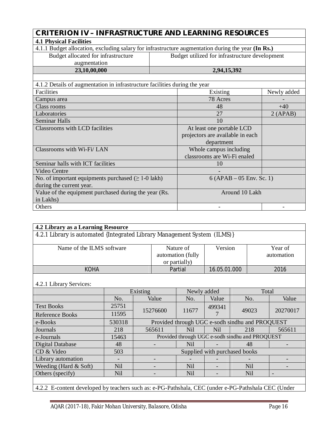| <b>CRITERION IV - INFRASTRUCTURE AND LEARNING RESOURCES</b>                                        |                                                |             |  |
|----------------------------------------------------------------------------------------------------|------------------------------------------------|-------------|--|
| <b>4.1 Physical Facilities</b>                                                                     |                                                |             |  |
| 4.1.1 Budget allocation, excluding salary for infrastructure augmentation during the year (In Rs.) |                                                |             |  |
| Budget allocated for infrastructure                                                                | Budget utilized for infrastructure development |             |  |
| augmentation                                                                                       |                                                |             |  |
|                                                                                                    |                                                |             |  |
| 23,10,00,000                                                                                       | 2,94,15,392                                    |             |  |
|                                                                                                    |                                                |             |  |
| 4.1.2 Details of augmentation in infrastructure facilities during the year                         |                                                |             |  |
| Facilities                                                                                         | Existing                                       | Newly added |  |

| Class rooms                                              | 48                               | $+40$   |  |
|----------------------------------------------------------|----------------------------------|---------|--|
| Laboratories                                             | 27                               | 2(APAB) |  |
| <b>Seminar Halls</b>                                     | 10                               |         |  |
| Classrooms with LCD facilities                           | At least one portable LCD        |         |  |
|                                                          | projectors are available in each |         |  |
|                                                          | department                       |         |  |
| Classrooms with Wi-Fi/LAN                                | Whole campus including           |         |  |
|                                                          | classrooms are Wi-Fi enaled      |         |  |
| Seminar halls with ICT facilities                        | 10                               |         |  |
| Video Centre                                             |                                  |         |  |
| No. of important equipments purchased $(\geq 1$ -0 lakh) | $6 (APAB - 05$ Env. Sc. 1)       |         |  |
| during the current year.                                 |                                  |         |  |
| Value of the equipment purchased during the year (Rs.    | Around 10 Lakh                   |         |  |
| in Lakhs)                                                |                                  |         |  |
| Others                                                   |                                  |         |  |

| 4.2 Library as a Learning Resource                                                                  |            |          |                                                 |                                                 |              |       |                       |          |
|-----------------------------------------------------------------------------------------------------|------------|----------|-------------------------------------------------|-------------------------------------------------|--------------|-------|-----------------------|----------|
| 4.2.1 Library is automated {Integrated Library Management System (ILMS)}                            |            |          |                                                 |                                                 |              |       |                       |          |
| Name of the ILMS software                                                                           |            |          | Nature of<br>automation (fully<br>or partially) |                                                 | Version      |       | Year of<br>automation |          |
| <b>KOHA</b>                                                                                         |            |          |                                                 | Partial                                         | 16.05.01.000 |       |                       | 2016     |
| 4.2.1 Library Services:                                                                             |            |          |                                                 |                                                 |              |       |                       |          |
|                                                                                                     |            | Existing |                                                 | Newly added                                     |              |       | Total                 |          |
|                                                                                                     | No.        |          | Value                                           | No.                                             | Value        |       | No.                   | Value    |
| <b>Text Books</b>                                                                                   | 25751      |          | 15276600                                        | 11677                                           | 499341<br>7  | 49023 |                       | 20270017 |
| <b>Reference Books</b>                                                                              | 11595      |          |                                                 |                                                 |              |       |                       |          |
| e-Books                                                                                             | 530318     |          |                                                 | Provided through UGC e-sodh sindhu and PROQUEST |              |       |                       |          |
| Journals                                                                                            | 218        |          | 565611                                          | <b>Nil</b>                                      | <b>Nil</b>   |       | 218                   | 565611   |
| e-Journals                                                                                          | 15463      |          |                                                 | Provided through UGC e-sodh sindhu and PROQUEST |              |       |                       |          |
| <b>Digital Database</b>                                                                             | 48         |          |                                                 | <b>Nil</b>                                      |              |       | 48                    |          |
| CD & Video                                                                                          | 503        |          | Supplied with purchased books                   |                                                 |              |       |                       |          |
| Library automation                                                                                  |            |          |                                                 |                                                 |              |       |                       |          |
| Weeding (Hard $& Soft$ )                                                                            | <b>Nil</b> |          |                                                 | <b>Nil</b>                                      |              |       | <b>Nil</b>            |          |
| Others (specify)                                                                                    | <b>Nil</b> |          |                                                 | <b>Nil</b>                                      |              |       | Nil                   |          |
|                                                                                                     |            |          |                                                 |                                                 |              |       |                       |          |
| 4.2.2 E-content developed by teachers such as: e-PG-Pathshala, CEC (under e-PG-Pathshala CEC (Under |            |          |                                                 |                                                 |              |       |                       |          |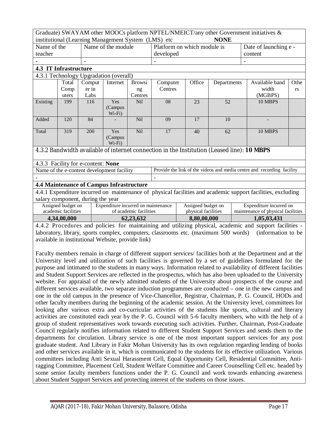| Graduate) SWAYAM other MOOCs platform NPTEL/NMEICT/any other Government initiatives $\&$ |             |  |
|------------------------------------------------------------------------------------------|-------------|--|
| institutional (Learning Management System (LMS) etc                                      | <b>NONE</b> |  |

|             | <b>NONE</b><br>institutional (Learning Management System (LMS) etc |                                    |                                                 |                        |                                                                                            |                             |             |  |                                                                                                             |      |
|-------------|--------------------------------------------------------------------|------------------------------------|-------------------------------------------------|------------------------|--------------------------------------------------------------------------------------------|-----------------------------|-------------|--|-------------------------------------------------------------------------------------------------------------|------|
| Name of the |                                                                    | Name of the module                 |                                                 |                        |                                                                                            | Platform on which module is |             |  | Date of launching e -                                                                                       |      |
| teacher     |                                                                    |                                    |                                                 |                        |                                                                                            | developed                   |             |  | content                                                                                                     |      |
|             |                                                                    |                                    |                                                 |                        |                                                                                            |                             |             |  |                                                                                                             |      |
|             | <b>4.3 IT Infrastructure</b>                                       |                                    |                                                 |                        |                                                                                            |                             |             |  |                                                                                                             |      |
|             |                                                                    |                                    | 4.3.1 Technology Upgradation (overall)          |                        |                                                                                            |                             |             |  |                                                                                                             |      |
|             | Total                                                              | Comput                             | Internet                                        | <b>Browsi</b>          | Computer                                                                                   | Office                      | Departments |  | Available band                                                                                              | Othe |
|             | Comp                                                               | er in                              |                                                 | ng                     | Centres                                                                                    |                             |             |  | width                                                                                                       | rs   |
|             | uters                                                              | Labs                               |                                                 | Centres                |                                                                                            |                             |             |  | (MGBPS)                                                                                                     |      |
| Existing    | 199                                                                | 116                                | Yes                                             | Nil                    | 08                                                                                         | 23                          | 52          |  | 10 MBPS                                                                                                     |      |
|             |                                                                    |                                    | (Campus                                         |                        |                                                                                            |                             |             |  |                                                                                                             |      |
|             |                                                                    | 84                                 | $Wi-Fi)$                                        |                        | 09                                                                                         | 17                          | 10          |  |                                                                                                             |      |
| Added       | 120                                                                |                                    |                                                 | Nil                    |                                                                                            |                             |             |  |                                                                                                             |      |
| Total       | 319                                                                | 200                                | Yes                                             | Nil                    | 17                                                                                         | 40                          | 62          |  | 10 MBPS                                                                                                     |      |
|             |                                                                    |                                    | (Campus                                         |                        |                                                                                            |                             |             |  |                                                                                                             |      |
|             |                                                                    |                                    | $Wi-Fi)$                                        |                        |                                                                                            |                             |             |  |                                                                                                             |      |
|             |                                                                    |                                    |                                                 |                        | 4.3.2 Bandwidth available of internet connection in the Institution (Leased line): 10 MBPS |                             |             |  |                                                                                                             |      |
|             |                                                                    | 4.3.3 Facility for e-content: None |                                                 |                        |                                                                                            |                             |             |  |                                                                                                             |      |
|             |                                                                    |                                    | Name of the e-content development facility      |                        |                                                                                            |                             |             |  | Provide the link of the videos and media centre and recording facility                                      |      |
|             |                                                                    |                                    |                                                 |                        |                                                                                            |                             |             |  |                                                                                                             |      |
|             |                                                                    |                                    | <b>4.4 Maintenance of Campus Infrastructure</b> |                        |                                                                                            |                             |             |  |                                                                                                             |      |
|             |                                                                    |                                    |                                                 |                        |                                                                                            |                             |             |  | 4.4.1 Expenditure incurred on maintenance of physical facilities and academic support facilities, excluding |      |
|             | salary component, during the year                                  |                                    |                                                 |                        |                                                                                            |                             |             |  |                                                                                                             |      |
|             | Assigned budget on                                                 |                                    | Expenditure incurred on maintenance             |                        |                                                                                            | Assigned budget on          |             |  | Expenditure incurred on                                                                                     |      |
|             | academic facilities                                                |                                    |                                                 | of academic facilities |                                                                                            | physical facilities         |             |  | maintenance of physical facilities                                                                          |      |
|             | 4,34,00,000                                                        |                                    |                                                 | 62,23,632              |                                                                                            | 8,80,00,000                 |             |  | 1,05,03,431                                                                                                 |      |

4.4.2 Procedures and policies for maintaining and utilizing physical, academic and support facilities laboratory, library, sports complex, computers, classrooms etc. (maximum 500 words) (information to be available in institutional Website, provide link)

Faculty members remain in charge of different support services/ facilities both at the Department and at the University level and utilization of such facilities is governed by a set of guidelines formulated for the purpose and intimated to the students in many ways. Information related to availability of different facilities and Student Support Services are reflected in the prospectus, which has also been uploaded to the University website. For appraisal of the newly admitted students of the University about prospects of the course and different services available, two separate induction programmes are conducted – one in the new campus and one in the old campus in the presence of Vice-Chancellor, Registrar, Chairman, P. G. Council, HODs and other faculty members during the beginning of the academic session. At the University level, committees for looking after various extra and co-curricular activities of the students like sports, cultural and literary activities are constituted each year by the P. G. Council with 5-6 faculty members, who with the help of a group of student representatives work towards executing such activities. Further, Chairman, Post-Graduate Council regularly notifies information related to different Student Support Services and sends them to the departments for circulation. Library service is one of the most important support services for any post graduate student. And Library in Fakir Mohan University has its own regulation regarding lending of books and other services available in it, which is communicated to the students for its effective utilization. Various committees including Anti Sexual Harassment Cell, Equal Opportunity Cell, Residential Committee, Antiragging Committee, Placement Cell, Student Welfare Committee and Career Counselling Cell etc. headed by some senior faculty members functions under the P. G. Council and work towards enhancing awareness about Student Support Services and protecting interest of the students on those issues.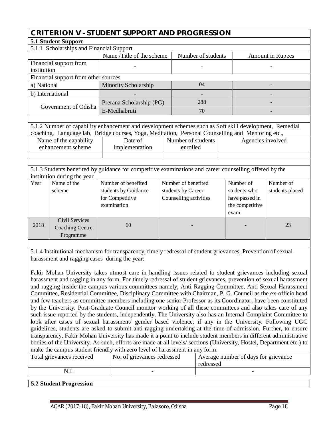## **CRITERION V - STUDENT SUPPORT AND PROGRESSION**

|             | 5.1 Student Support                      |                                                                                                         |          |                        |                   |                         |  |
|-------------|------------------------------------------|---------------------------------------------------------------------------------------------------------|----------|------------------------|-------------------|-------------------------|--|
|             | 5.1.1 Scholarships and Financial Support |                                                                                                         |          |                        |                   |                         |  |
|             |                                          | Name /Title of the scheme                                                                               |          | Number of students     |                   | <b>Amount in Rupees</b> |  |
|             | Financial support from                   |                                                                                                         |          |                        |                   |                         |  |
| institution |                                          |                                                                                                         |          |                        |                   |                         |  |
|             | Financial support from other sources     |                                                                                                         |          |                        |                   |                         |  |
| a) National |                                          | Minority Scholarship                                                                                    |          | 04                     |                   |                         |  |
|             | b) International                         |                                                                                                         |          |                        |                   |                         |  |
|             | Government of Odisha                     | Prerana Scholarship (PG)                                                                                |          | 288                    |                   |                         |  |
|             |                                          | E-Medhabruti                                                                                            |          | 70                     |                   |                         |  |
|             |                                          |                                                                                                         |          |                        |                   |                         |  |
|             |                                          | 5.1.2 Number of capability enhancement and development schemes such as Soft skill development, Remedial |          |                        |                   |                         |  |
|             |                                          | coaching, Language lab, Bridge courses, Yoga, Meditation, Personal Counselling and Mentoring etc.,      |          |                        |                   |                         |  |
|             | Name of the capability                   | Date of<br>Number of students                                                                           |          |                        | Agencies involved |                         |  |
|             | enhancement scheme                       | implementation                                                                                          | enrolled |                        |                   |                         |  |
|             |                                          |                                                                                                         |          |                        |                   |                         |  |
|             |                                          |                                                                                                         |          |                        |                   |                         |  |
|             |                                          | 5.1.3 Students benefited by guidance for competitive examinations and career counselling offered by the |          |                        |                   |                         |  |
|             | institution during the year              |                                                                                                         |          |                        |                   |                         |  |
| Year        | Name of the                              | Number of benefited                                                                                     |          | Number of benefited    | Number of         | Number of               |  |
|             | scheme                                   | students by Guidance                                                                                    |          | students by Career     | students who      | students placed         |  |
|             |                                          | for Competitive                                                                                         |          | Counselling activities | have passed in    |                         |  |
|             |                                          | examination                                                                                             |          |                        | the competitive   |                         |  |
|             |                                          |                                                                                                         |          |                        | exam              |                         |  |
|             | <b>Civil Services</b>                    |                                                                                                         |          |                        |                   |                         |  |
| 2018        | <b>Coaching Centre</b>                   | 60                                                                                                      |          |                        |                   | 23                      |  |

5.1.4 Institutional mechanism for transparency, timely redressal of student grievances, Prevention of sexual harassment and ragging cases during the year:

Fakir Mohan University takes utmost care in handling issues related to student grievances including sexual harassment and ragging in any form. For timely redressal of student grievances, prevention of sexual harassment and ragging inside the campus various committees namely, Anti Ragging Committee, Anti Sexual Harassment Committee, Residential Committee, Disciplinary Committee with Chairman, P. G. Council as the ex-officio head and few teachers as committee members including one senior Professor as its Coordinator, have been constituted by the University. Post-Graduate Council monitor working of all these committees and also takes care of any such issue reported by the students, independently. The University also has an Internal Complaint Committee to look after cases of sexual harassment/ gender based violence, if any in the University. Following UGC guidelines, students are asked to submit anti-ragging undertaking at the time of admission. Further, to ensure transparency, Fakir Mohan University has made it a point to include student members in different administrative bodies of the University. As such, efforts are made at all levels/ sections (University, Hostel, Department etc.) to make the campus student friendly with zero level of harassment in any form.

| Total grievances received | No. of grievances redressed | Average number of days for grievance<br>redressed |
|---------------------------|-----------------------------|---------------------------------------------------|
| NIL                       |                             |                                                   |
|                           |                             |                                                   |

#### **5.2 Student Progression**

Programme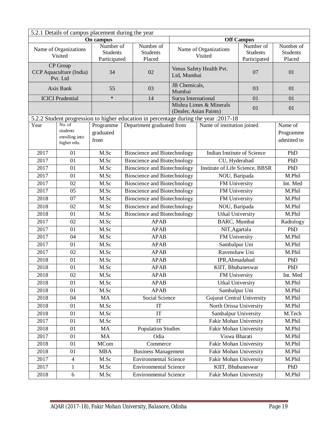| 5.2.1 Details of campus placement during the year |                                                 |                                              |                                        |                                     |                                  |                                                                                       |                                        |                          |
|---------------------------------------------------|-------------------------------------------------|----------------------------------------------|----------------------------------------|-------------------------------------|----------------------------------|---------------------------------------------------------------------------------------|----------------------------------------|--------------------------|
|                                                   | On campus                                       |                                              |                                        | <b>Off Campus</b>                   |                                  |                                                                                       |                                        |                          |
|                                                   | Name of Organizations<br>Visited                | Number of<br><b>Students</b><br>Participated | Number of<br><b>Students</b><br>Placed |                                     | Name of Organizations<br>Visited | Number of<br><b>Students</b><br>Participated                                          | Number of<br><b>Students</b><br>Placed |                          |
|                                                   | CP Group<br>CCP Aquaculture (India)<br>Pvt. Ltd | 34                                           |                                        | 02                                  | Ltd, Mumbai                      | Venus Safety Health Pvt.                                                              | 07                                     | 01                       |
|                                                   | Axis Bank                                       | 55                                           |                                        | 03                                  | JB Chemicals,<br>Mumbai          |                                                                                       | 03                                     | 01                       |
|                                                   | <b>ICICI</b> Prudential                         | $\ast$                                       |                                        | 14                                  | Surya International              |                                                                                       | 01                                     | 01                       |
|                                                   |                                                 |                                              |                                        |                                     |                                  | Mishra Limes & Minerals<br>(Dealer, Asian Paints)                                     | 01                                     | 01                       |
|                                                   |                                                 |                                              |                                        |                                     |                                  | 5.2.2 Student progression to higher education in percentage during the year : 2017-18 |                                        |                          |
| Year                                              | No. of                                          | Programme                                    |                                        | Department graduated from           |                                  | Name of institution joined                                                            |                                        | Name of                  |
|                                                   | students<br>enrolling into<br>higher edu.       | graduated<br>from                            |                                        |                                     |                                  |                                                                                       |                                        | Programme<br>admitted to |
| 2017                                              | 01                                              | M.Sc                                         |                                        | <b>Bioscience and Biotechnology</b> |                                  | <b>Indian Institute of Science</b>                                                    |                                        | PhD                      |
| 2017                                              | 01                                              | M.Sc                                         |                                        | <b>Bioscience and Biotechnology</b> |                                  | CU, Hyderabad                                                                         |                                        | PhD                      |
| 2017                                              | 01                                              | M.Sc                                         |                                        | <b>Bioscience and Biotechnology</b> |                                  | Institute of Life Science, BBSR                                                       |                                        | PhD                      |
| 2017                                              | 01                                              | M.Sc                                         |                                        | <b>Bioscience and Biotechnology</b> |                                  | NOU, Baripada                                                                         |                                        | M.Phil                   |
| 2017                                              | 02                                              | M.Sc                                         |                                        | <b>Bioscience and Biotechnology</b> |                                  | FM University                                                                         |                                        | Int. Med                 |
| 2017                                              | 05                                              | M.Sc                                         |                                        | <b>Bioscience and Biotechnology</b> |                                  | FM University                                                                         |                                        | M.Phil                   |
| 2018                                              | 07                                              | M.Sc                                         |                                        | <b>Bioscience and Biotechnology</b> |                                  | FM University                                                                         |                                        | M.Phil                   |
| 2018                                              | 02                                              | M.Sc                                         |                                        | <b>Bioscience and Biotechnology</b> |                                  | NOU, Baripada                                                                         |                                        | M.Phil                   |
| 2018                                              | 01                                              | M.Sc                                         |                                        | <b>Bioscience and Biotechnology</b> |                                  | <b>Utkal University</b>                                                               |                                        | M.Phil                   |
| 2017                                              | 02                                              | M.Sc                                         |                                        | <b>APAB</b>                         |                                  | BARC, Mumbai                                                                          |                                        | Radiology                |
| 2017                                              | $\overline{01}$                                 | M.Sc                                         |                                        | <b>APAB</b>                         |                                  | NIT, Agartala                                                                         |                                        | PhD                      |
| 2017                                              | 04                                              | M.Sc                                         |                                        | <b>APAB</b>                         |                                  | FM University                                                                         |                                        | M.Phil                   |
| 2017                                              | 01                                              | M.Sc                                         |                                        | <b>APAB</b>                         |                                  | Sambalpur Uni                                                                         |                                        | M.Phil                   |
| 2017                                              | 02                                              | M.Sc                                         |                                        | <b>APAB</b>                         |                                  | Ravenshaw Uni                                                                         |                                        | M.Phil                   |
| 2018                                              | 01                                              | M.Sc                                         |                                        | <b>APAB</b>                         |                                  | IPR, Ahmadabad                                                                        |                                        | PhD                      |
| 2018                                              | 01                                              | M.Sc                                         |                                        | <b>APAB</b>                         |                                  | KIIT, Bhubaneswar                                                                     |                                        | PhD                      |
| 2018                                              | 02                                              | M.Sc                                         |                                        | <b>APAB</b>                         |                                  | FM University                                                                         |                                        | Int. Med                 |
| 2018                                              | 01                                              | M.Sc                                         |                                        | <b>APAB</b>                         |                                  | <b>Utkal University</b>                                                               |                                        | M.Phil                   |
| 2018                                              | 01                                              | M.Sc                                         |                                        | APAB                                |                                  | Sambalpur Uni                                                                         |                                        | M.Phil                   |
| 2018                                              | 04                                              | MA                                           |                                        | Social Science                      |                                  | <b>Gujurat Central University</b>                                                     |                                        | M.Phil                   |
| 2018                                              | 01                                              | M.Sc                                         |                                        | $\operatorname{IT}$                 |                                  | North Orissa University                                                               |                                        | M.Phil                   |
| 2018                                              | 01                                              | M.Sc                                         |                                        | IT                                  |                                  | Sambalpur University                                                                  |                                        | M.Tech                   |
| 2017                                              | 01                                              | M.Sc                                         |                                        | IT                                  |                                  | Fakir Mohan University                                                                |                                        | M.Phil                   |
| 2018                                              | 01                                              | MA                                           |                                        | <b>Population Studies</b>           |                                  | Fakir Mohan University                                                                |                                        | M.Phil                   |
| 2017                                              | 01                                              | MA                                           |                                        | Odia                                |                                  | Viswa Bharati                                                                         |                                        | M.Phil                   |
| 2018                                              | 01                                              | <b>MCom</b>                                  |                                        | Commerce                            |                                  | Fakir Mohan University                                                                |                                        | M.Phil                   |
| 2018                                              | 01                                              | <b>MBA</b>                                   |                                        | <b>Business Management</b>          |                                  | Fakir Mohan University                                                                |                                        | M.Phil                   |
| 2017                                              | $\overline{4}$                                  | M.Sc                                         |                                        | <b>Environmental Science</b>        |                                  | Fakir Mohan University                                                                |                                        | M.Phil                   |
| 2017                                              | 1                                               | M.Sc                                         |                                        | <b>Environmental Science</b>        |                                  | KIIT, Bhubaneswar                                                                     |                                        | PhD                      |
| 2018                                              | $\boldsymbol{6}$                                | M.Sc                                         | <b>Environmental Science</b>           |                                     |                                  | Fakir Mohan University                                                                |                                        | M.Phil                   |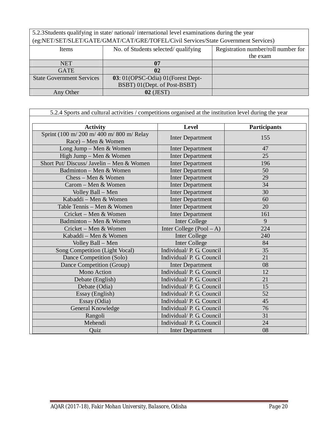5.2.3Students qualifying in state/ national/ international level examinations during the year (eg:NET/SET/SLET/GATE/GMAT/CAT/GRE/TOFEL/Civil Services/State Government Services)

| Items                            | No. of Students selected/qualifying | Registration number/roll number for |
|----------------------------------|-------------------------------------|-------------------------------------|
|                                  |                                     | the exam                            |
| <b>NET</b>                       | 07                                  |                                     |
| <b>GATE</b>                      | 02                                  |                                     |
| <b>State Government Services</b> | 03: 01 (OPSC-Odia) 01 (Forest Dept- |                                     |
|                                  | BSBT) 01(Dept. of Post-BSBT)        |                                     |
| Any Other                        | $02$ (JEST)                         |                                     |

| 5.2.4 Sports and cultural activities / competitions organised at the institution level during the year |                            |              |  |  |  |
|--------------------------------------------------------------------------------------------------------|----------------------------|--------------|--|--|--|
|                                                                                                        |                            |              |  |  |  |
| <b>Activity</b>                                                                                        | <b>Level</b>               | Participants |  |  |  |
| Sprint (100 m/200 m/400 m/800 m/Relay<br>$Race$ – Men & Women                                          | <b>Inter Department</b>    | 155          |  |  |  |
| Long Jump - Men & Women                                                                                | <b>Inter Department</b>    | 47           |  |  |  |
| High Jump - Men & Women                                                                                | <b>Inter Department</b>    | 25           |  |  |  |
| Short Put/ Discuss/ Javelin - Men & Women                                                              | <b>Inter Department</b>    | 196          |  |  |  |
| Badminton - Men & Women                                                                                | <b>Inter Department</b>    | 50           |  |  |  |
| $Chess - Men & Women$                                                                                  | <b>Inter Department</b>    | 29           |  |  |  |
| Carom - Men & Women                                                                                    | <b>Inter Department</b>    | 34           |  |  |  |
| Volley Ball - Men                                                                                      | <b>Inter Department</b>    | 30           |  |  |  |
| Kabaddi - Men & Women                                                                                  | <b>Inter Department</b>    | 60           |  |  |  |
| Table Tennis - Men & Women                                                                             | <b>Inter Department</b>    | 20           |  |  |  |
| Cricket – Men & Women                                                                                  | <b>Inter Department</b>    | 161          |  |  |  |
| Badminton - Men & Women                                                                                | Inter College              | 9            |  |  |  |
| Cricket - Men & Women                                                                                  | Inter College $(Pool - A)$ | 224          |  |  |  |
| Kabaddi - Men & Women                                                                                  | <b>Inter College</b>       | 240          |  |  |  |
| Volley Ball – Men                                                                                      | Inter College              | 84           |  |  |  |
| Song Competition (Light Vocal)                                                                         | Individual/ P. G. Council  | 35           |  |  |  |
| Dance Competition (Solo)                                                                               | Individual/ P. G. Council  | 21           |  |  |  |
| Dance Competition (Group)                                                                              | <b>Inter Department</b>    | 08           |  |  |  |
| Mono Action                                                                                            | Individual/ P. G. Council  | 12           |  |  |  |
| Debate (English)                                                                                       | Individual/ P. G. Council  | 21           |  |  |  |
| Debate (Odia)                                                                                          | Individual/ P. G. Council  | 15           |  |  |  |
| Essay (English)                                                                                        | Individual/ P. G. Council  | 52           |  |  |  |
| Essay (Odia)                                                                                           | Individual/ P. G. Council  | 45           |  |  |  |
| General Knowledge                                                                                      | Individual/ P. G. Council  | 76           |  |  |  |
| Rangoli                                                                                                | Individual/ P. G. Council  | 31           |  |  |  |
| Mehendi                                                                                                | Individual/ P. G. Council  | 24           |  |  |  |
| Quiz                                                                                                   | <b>Inter Department</b>    | 08           |  |  |  |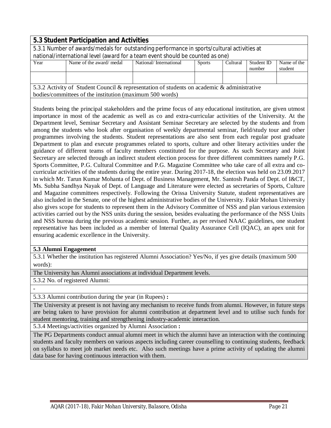|                                                                                                                | 5.3 Student Participation and Activities                                                    |                        |               |          |            |             |
|----------------------------------------------------------------------------------------------------------------|---------------------------------------------------------------------------------------------|------------------------|---------------|----------|------------|-------------|
|                                                                                                                | 5.3.1 Number of awards/medals for outstanding performance in sports/cultural activities at  |                        |               |          |            |             |
|                                                                                                                | national/international level (award for a team event should be counted as one)              |                        |               |          |            |             |
| Year                                                                                                           | Name of the award/medal                                                                     | National/International | <b>Sports</b> | Cultural | Student ID | Name of the |
|                                                                                                                |                                                                                             |                        |               |          | number     | student     |
|                                                                                                                |                                                                                             |                        |               |          |            |             |
|                                                                                                                |                                                                                             |                        |               |          |            |             |
|                                                                                                                | 5.3.2 Activity of Student Council & representation of students on academic & administrative |                        |               |          |            |             |
| bodies/committees of the institution (maximum 500 words)                                                       |                                                                                             |                        |               |          |            |             |
|                                                                                                                |                                                                                             |                        |               |          |            |             |
| Students being the principal stakeholders and the prime focus of any educational institution, are given utmost |                                                                                             |                        |               |          |            |             |

Students being the principal stakeholders and the prime focus of any educational institution, are given utmost importance in most of the academic as well as co and extra-curricular activities of the University. At the Department level, Seminar Secretary and Assistant Seminar Secretary are selected by the students and from among the students who look after organisation of weekly departmental seminar, field/study tour and other programmes involving the students. Student representations are also sent from each regular post graduate Department to plan and execute programmes related to sports, culture and other literary activities under the guidance of different teams of faculty members constituted for the purpose. As such Secretary and Joint Secretary are selected through an indirect student election process for three different committees namely P.G. Sports Committee, P.G. Cultural Committee and P.G. Magazine Committee who take care of all extra and cocurricular activities of the students during the entire year. During 2017-18, the election was held on 23.09.2017 in which Mr. Tarun Kumar Mohanta of Dept. of Business Management, Mr. Santosh Panda of Dept. of I&CT, Ms. Subha Sandhya Nayak of Dept. of Language and Literature were elected as secretaries of Sports, Culture and Magazine committees respectively. Following the Orissa University Statute, student representatives are also included in the Senate, one of the highest administrative bodies of the University. Fakir Mohan University also gives scope for students to represent them in the Advisory Committee of NSS and plan various extension activities carried out by the NSS units during the session, besides evaluating the performance of the NSS Units and NSS bureau during the previous academic session. Further, as per revised NAAC guidelines, one student representative has been included as a member of Internal Quality Assurance Cell (IQAC), an apex unit for ensuring academic excellence in the University.

#### **5.3 Alumni Engagement**

5.3.1 Whether the institution has registered Alumni Association? Yes/No, if yes give details (maximum 500 words):

The University has Alumni associations at individual Department levels.

5.3.2 No. of registered Alumni:

-

#### 5.3.3 Alumni contribution during the year (in Rupees) **:**

The University at present is not having any mechanism to receive funds from alumni. However, in future steps are being taken to have provision for alumni contribution at department level and to utilise such funds for student mentoring, training and strengthening industry-academic interaction.

5.3.4 Meetings/activities organized by Alumni Association **:** 

The PG Departments conduct annual alumni meet in which the alumni have an interaction with the continuing students and faculty members on various aspects including career counselling to continuing students, feedback on syllabus to meet job market needs etc. Also such meetings have a prime activity of updating the alumni data base for having continuous interaction with them.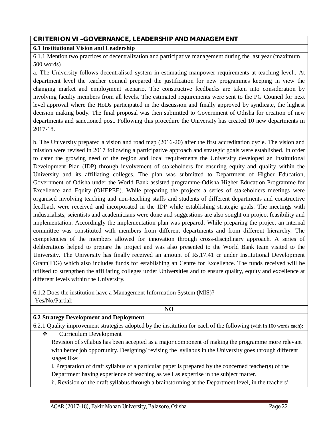#### **CRITERION VI –GOVERNANCE, LEADERSHIP AND MANAGEMENT**

#### **6.1 Institutional Vision and Leadership**

6.1.1 Mention two practices of decentralization and participative management during the last year (maximum 500 words)

a. The University follows decentralised system in estimating manpower requirements at teaching level.. At department level the teacher council prepared the justification for new programmes keeping in view the changing market and employment scenario. The constructive feedbacks are taken into consideration by involving faculty members from all levels. The estimated requirements were sent to the PG Council for next level approval where the HoDs participated in the discussion and finally approved by syndicate, the highest decision making body. The final proposal was then submitted to Government of Odisha for creation of new departments and sanctioned post. Following this procedure the University has created 10 new departments in 2017-18.

b. The University prepared a vision and road map (2016-20) after the first accreditation cycle. The vision and mission were revised in 2017 following a participative approach and strategic goals were established. In order to cater the growing need of the region and local requirements the University developed an Institutional Development Plan (IDP) through involvement of stakeholders for ensuring equity and quality within the University and its affiliating colleges. The plan was submitted to Department of Higher Education, Government of Odisha under the World Bank assisted programme-Odisha Higher Education Programme for Excellence and Equity (OHEPEE). While preparing the projects a series of stakeholders meetings were organised involving teaching and non-teaching staffs and students of different departments and constructive feedback were received and incorporated in the IDP while establishing strategic goals. The meetings with industrialists, scientists and academicians were done and suggestions are also sought on project feasibility and implementation. Accordingly the implementation plan was prepared. While preparing the project an internal committee was constituted with members from different departments and from different hierarchy. The competencies of the members allowed for innovation through cross-disciplinary approach. A series of deliberations helped to prepare the project and was also presented to the World Bank team visited to the University. The University has finally received an amount of Rs,17.41 cr under Institutional Development Grant(IDG) which also includes funds for establishing an Centre for Excellence. The funds received will be utilised to strengthen the affiliating colleges under Universities and to ensure quality, equity and excellence at different levels within the University.

6.1.2 Does the institution have a Management Information System (MIS)? Yes/No/Partial:

#### **NO**

#### **6.2 Strategy Development and Deployment**

6.2.1 Quality improvement strategies adopted by the institution for each of the following (with in 100 words each**):** 

Curriculum Development

Revision of syllabus has been accepted as a major component of making the programme more relevant with better job opportunity. Designing/ revising the syllabus in the University goes through different stages like:

i. Preparation of draft syllabus of a particular paper is prepared by the concerned teacher(s) of the Department having experience of teaching as well as expertise in the subject matter.

ii. Revision of the draft syllabus through a brainstorming at the Department level, in the teachers'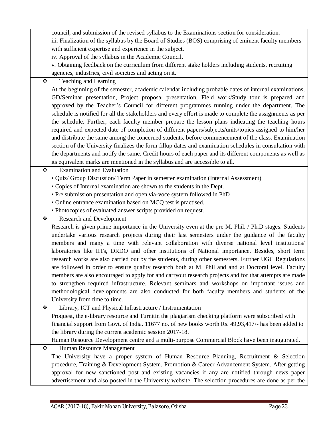council, and submission of the revised syllabus to the Examinations section for consideration. iii. Finalization of the syllabus by the Board of Studies (BOS) comprising of eminent faculty members with sufficient expertise and experience in the subject.

iv. Approval of the syllabus in the Academic Council.

v. Obtaining feedback on the curriculum from different stake holders including students, recruiting agencies, industries, civil societies and acting on it.

Teaching and Learning

At the beginning of the semester, academic calendar including probable dates of internal examinations, GD/Seminar presentation, Project proposal presentation, Field work/Study tour is prepared and approved by the Teacher's Council for different programmes running under the department. The schedule is notified for all the stakeholders and every effort is made to complete the assignments as per the schedule. Further, each faculty member prepare the lesson plans indicating the teaching hours required and expected date of completion of different papers/subjects/units/topics assigned to him/her and distribute the same among the concerned students, before commencement of the class. Examination section of the University finalizes the form fillup dates and examination schedules in consultation with the departments and notify the same. Credit hours of each paper and its different components as well as its equivalent marks are mentioned in the syllabus and are accessible to all.

- Examination and Evaluation
	- Quiz/ Group Discussion/ Term Paper in semester examination (Internal Assessment)
	- Copies of Internal examination are shown to the students in the Dept.
	- Pre submission presentation and open via-voce system followed in PhD
	- Online entrance examination based on MCQ test is practised.
	- Photocopies of evaluated answer scripts provided on request.
- Research and Development

Research is given prime importance in the University even at the pre M. Phil. / Ph.D stages. Students undertake various research projects during their last semesters under the guidance of the faculty members and many a time with relevant collaboration with diverse national level institutions/ laboratories like IITs, DRDO and other institutions of National importance. Besides, short term research works are also carried out by the students, during other semesters. Further UGC Regulations are followed in order to ensure quality research both at M. Phil and and at Doctoral level. Faculty members are also encouraged to apply for and carryout research projects and for that attempts are made to strengthen required infrastructure. Relevant seminars and workshops on important issues and methodological developments are also conducted for both faculty members and students of the University from time to time.

- Library, ICT and Physical Infrastructure / Instrumentation Proquest, the e-library resource and Turnitin the plagiarism checking platform were subscribed with financial support from Govt. of India. 11677 no. of new books worth Rs. 49,93,417/- has been added to the library during the current academic session 2017-18. Human Resource Development centre and a multi-purpose Commercial Block have been inaugurated.
- Human Resource Management The University have a proper system of Human Resource Planning, Recruitment & Selection procedure, Training & Development System, Promotion & Career Advancement System. After getting approval for new sanctioned post and existing vacancies if any are notified through news paper advertisement and also posted in the University website. The selection procedures are done as per the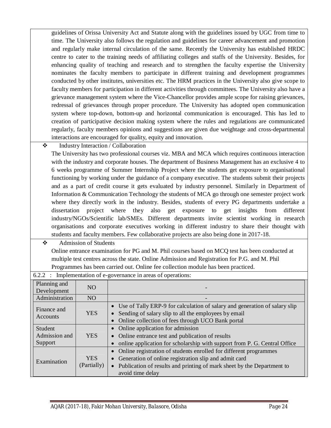guidelines of Orissa University Act and Statute along with the guidelines issued by UGC from time to time. The University also follows the regulation and guidelines for career advancement and promotion and regularly make internal circulation of the same. Recently the University has established HRDC centre to cater to the training needs of affiliating colleges and staffs of the University. Besides, for enhancing quality of teaching and research and to strengthen the faculty expertise the University nominates the faculty members to participate in different training and development programmes conducted by other institutes, universities etc. The HRM practices in the University also give scope to faculty members for participation in different activities through committees. The University also have a grievance management system where the Vice-Chancellor provides ample scope for raising grievances, redressal of grievances through proper procedure. The University has adopted open communication system where top-down, bottom-up and horizontal communication is encouraged. This has led to creation of participative decision making system where the rules and regulations are communicated regularly, faculty members opinions and suggestions are given due weightage and cross-departmental interactions are encouraged for quality, equity and innovation.

### Industry Interaction / Collaboration

The University has two professional courses viz. MBA and MCA which requires continuous interaction with the industry and corporate houses. The department of Business Management has an exclusive 4 to 6 weeks programme of Summer Internship Project where the students get exposure to organisational functioning by working under the guidance of a company executive. The students submit their projects and as a part of credit course it gets evaluated by industry personnel. Similarly in Department of Information & Communication Technology the students of MCA go through one semester project work where they directly work in the industry. Besides, students of every PG departments undertake a dissertation project where they also get exposure to get insights from different industry/NGOs/Scientific lab/SMEs. Different departments invite scientist working in research organisations and corporate executives working in different industry to share their thought with students and faculty members. Few collaborative projects are also being done in 2017-18.

 Admission of Students Online entrance examination for PG and M. Phil courses based on MCQ test has been conducted at multiple test centres across the state. Online Admission and Registration for P.G. and M. Phil Programmes has been carried out. Online fee collection module has been practiced.

| 6.2.2 : Implementation of e-governance in areas of operations: |                           |                                                                                                                                                                                                                                |  |  |
|----------------------------------------------------------------|---------------------------|--------------------------------------------------------------------------------------------------------------------------------------------------------------------------------------------------------------------------------|--|--|
| Planning and<br>Development                                    | NO.                       |                                                                                                                                                                                                                                |  |  |
| Administration                                                 | NO                        |                                                                                                                                                                                                                                |  |  |
| Finance and<br>Accounts                                        | <b>YES</b>                | • Use of Tally ERP-9 for calculation of salary and generation of salary slip<br>Sending of salary slip to all the employees by email<br>• Online collection of fees through UCO Bank portal                                    |  |  |
| Student<br>Admission and<br>Support                            | <b>YES</b>                | • Online application for admission<br>• Online entrance test and publication of results<br>online application for scholarship with support from P. G. Central Office                                                           |  |  |
| Examination                                                    | <b>YES</b><br>(Partially) | • Online registration of students enrolled for different programmes<br>• Generation of online registration slip and admit card<br>• Publication of results and printing of mark sheet by the Department to<br>avoid time delay |  |  |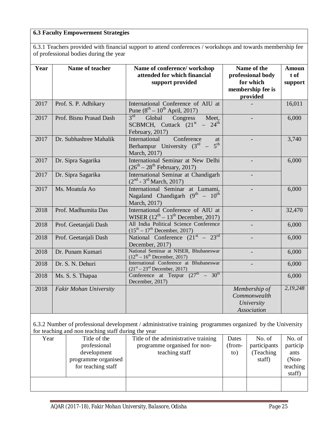#### **6.3 Faculty Empowerment Strategies**

6.3.1 Teachers provided with financial support to attend conferences / workshops and towards membership fee of professional bodies during the year

| Year | Name of teacher         | Name of conference/workshop<br>attended for which financial<br>support provided                       | Name of the<br>professional body<br>for which<br>membership fee is<br>provided | <b>Amoun</b><br>t of<br>support |
|------|-------------------------|-------------------------------------------------------------------------------------------------------|--------------------------------------------------------------------------------|---------------------------------|
| 2017 | Prof. S. P. Adhikary    | International Conference of AIU at<br>Pune $(8^{th} - 10^{th}$ April, 2017)                           |                                                                                | 16,011                          |
| 2017 | Prof. Bisnu Prasad Dash | $3^{\text{rd}}$<br>Global<br>Congress<br>Meet,<br>SCBMCH, Cuttack $(21st - 24th)$<br>February, 2017)  |                                                                                | 6,000                           |
| 2017 | Dr. Subhashree Mahalik  | Conference<br>International<br>at<br>5 <sup>th</sup><br>Berhampur University $(3rd -$<br>March, 2017) |                                                                                | 3,740                           |
| 2017 | Dr. Sipra Sagarika      | International Seminar at New Delhi<br>$(26^{th} - 28^{th}$ February, 2017)                            |                                                                                | 6,000                           |
| 2017 | Dr. Sipra Sagarika      | International Seminar at Chandigarh<br>$(2nd - 3rd March, 2017)$                                      |                                                                                |                                 |
| 2017 | Ms. Moatula Ao          | International Seminar at Lumami,<br>Nagaland Chandigarh (9th - 10th<br>March, 2017)                   |                                                                                | 6,000                           |
| 2018 | Prof. Madhumita Das     | International Conference of AIU at<br>WISER $(12th – 13th$ December, 2017)                            |                                                                                | 32,470                          |
| 2018 | Prof. Geetanjali Dash   | All India Political Science Conference<br>$(15^{th} – 17^{th}$ December, 2017)                        |                                                                                | 6,000                           |
| 2018 | Prof. Geetanjali Dash   | National Conference $(21st - 23rd)$<br>December, 2017)                                                |                                                                                | 6,000                           |
| 2018 | Dr. Punam Kumari        | National Seminar at NISER, Bhubaneswar<br>$(12^{th} - 16^{th}$ December, 2017)                        |                                                                                | 6,000                           |
| 2018 | Dr. S. N. Dehuri        | International Conference at Bhubaneswar<br>$(21st – 23rd December, 2017)$                             |                                                                                | 6,000                           |
| 2018 | Ms. S. S. Thapaa        | Conference at Tezpur $(27th - 30th)$<br>December, 2017)                                               |                                                                                | 6,000                           |
| 2018 | Fakir Mohan University  |                                                                                                       | Membership of<br>Commonwealth<br>University<br><b>Association</b>              | 2,19,248                        |

6.3.2 Number of professional development / administrative training programmes organized by the University for teaching and non teaching staff during the year

| Year | Title of the        | Title of the administrative training | Dates  | No. of       | No. of   |
|------|---------------------|--------------------------------------|--------|--------------|----------|
|      | professional        | programme organised for non-         | (from- | participants | particip |
|      | development         | teaching staff                       | to)    | (Teaching)   | ants     |
|      | programme organised |                                      |        | staff)       | $(Non-$  |
|      | for teaching staff  |                                      |        |              | teaching |
|      |                     |                                      |        |              | staff)   |
|      |                     |                                      |        |              |          |
|      |                     |                                      |        |              |          |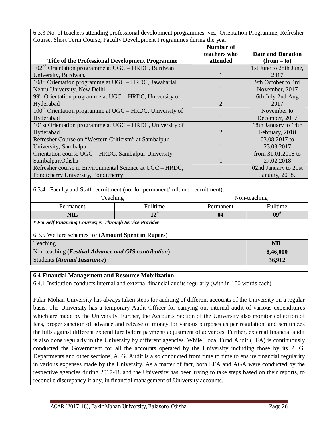| 6.3.3 No. of teachers attending professional development programmes, viz., Orientation Programme, Refresher |
|-------------------------------------------------------------------------------------------------------------|
| Course, Short Term Course, Faculty Development Programmes during the year                                   |

|                                                                               |              | Number of                |                      |  |  |
|-------------------------------------------------------------------------------|--------------|--------------------------|----------------------|--|--|
|                                                                               | teachers who | <b>Date and Duration</b> |                      |  |  |
| <b>Title of the Professional Development Programme</b>                        | attended     | $(from - to)$            |                      |  |  |
| 102 <sup>nd</sup> Orientation programme at UGC - HRDC, Burdwan                |              | 1st June to 28th June,   |                      |  |  |
| University, Burdwan,                                                          |              | 2017                     |                      |  |  |
| $108th$ Orientation programme at UGC – HRDC, Jawaharlal                       |              | 9th October to 3rd       |                      |  |  |
| Nehru University, New Delhi                                                   |              |                          | November, 2017       |  |  |
| 99 <sup>th</sup> Orientation programme at UGC - HRDC, University of           |              |                          | 6th July-2nd Aug     |  |  |
| Hyderabad                                                                     |              | $\overline{2}$           | 2017                 |  |  |
| 100 <sup>th</sup> Orientation programme at UGC - HRDC, University of          |              |                          | November to          |  |  |
| Hyderabad                                                                     |              |                          | December, 2017       |  |  |
| 101st Orientation programme at UGC - HRDC, University of                      |              |                          | 18th January to 14th |  |  |
| Hyderabad                                                                     |              | $\overline{2}$           | February, 2018       |  |  |
| Refresher Course on "Western Criticism" at Sambalpur                          |              |                          | 03.08.2017 to        |  |  |
| University, Sambalpur.                                                        |              |                          | 23.08.2017           |  |  |
| Orientation course UGC - HRDC, Sambalpur University,                          |              | from 31.01.2018 to       |                      |  |  |
| Sambalpur.Odisha                                                              |              | 27.02.2018               |                      |  |  |
| Refresher course in Environmental Science at UGC - HRDC,                      |              | 02nd January to 21st     |                      |  |  |
| Pondicherry University, Pondicherry                                           |              | January, 2018.           |                      |  |  |
|                                                                               |              |                          |                      |  |  |
| 6.3.4 Faculty and Staff recruitment (no. for permanent/fulltime recruitment): |              |                          |                      |  |  |
| Teaching                                                                      |              | Non-teaching             |                      |  |  |
| Permanent                                                                     | Fulltime     | Permanent                | Fulltime             |  |  |
| <b>NIL</b>                                                                    | $12^*$       | 04                       | $09^{\#}$            |  |  |
| * For Self Financing Courses; #: Through Service Provider                     |              |                          |                      |  |  |
| 6.3.5 Welfare schemes for (Amount Spent in Rupees)                            |              |                          |                      |  |  |
| Teaching                                                                      |              | <b>NIL</b>               |                      |  |  |
| Non teaching (Festival Advance and GIS contribution)                          |              | 8,46,000                 |                      |  |  |
| <b>Students (Annual Insurance)</b>                                            | 36,912       |                          |                      |  |  |

#### **6.4 Financial Management and Resource Mobilization**

6.4.1 Institution conducts internal and external financial audits regularly (with in 100 words each**)**

Fakir Mohan University has always taken steps for auditing of different accounts of the University on a regular basis. The University has a temporary Audit Officer for carrying out internal audit of various expenditures which are made by the University. Further, the Accounts Section of the University also monitor collection of fees, proper sanction of advance and release of money for various purposes as per regulation, and scrutinizes the bills against different expenditure before payment/ adjustment of advances. Further, external financial audit is also done regularly in the University by different agencies. While Local Fund Audit (LFA) is continuously conducted the Government for all the accounts operated by the University including those by its P. G. Departments and other sections, A. G. Audit is also conducted from time to time to ensure financial regularity in various expenses made by the University. As a matter of fact, both LFA and AGA were conducted by the respective agencies during 2017-18 and the University has been trying to take steps based on their reports, to reconcile discrepancy if any, in financial management of University accounts.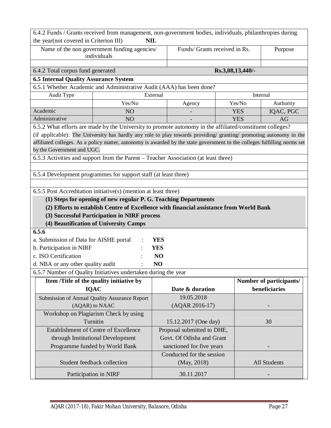| 6.4.2 Funds / Grants received from management, non-government bodies, individuals, philanthropies during                  |                                                                                         |                           |                               |                  |                         |  |
|---------------------------------------------------------------------------------------------------------------------------|-----------------------------------------------------------------------------------------|---------------------------|-------------------------------|------------------|-------------------------|--|
| the year(not covered in Criterion III)<br><b>NIL</b>                                                                      |                                                                                         |                           |                               |                  |                         |  |
| Name of the non government funding agencies/                                                                              |                                                                                         |                           | Funds/ Grants received in Rs. |                  | Purpose                 |  |
| individuals                                                                                                               |                                                                                         |                           |                               |                  |                         |  |
|                                                                                                                           |                                                                                         |                           |                               |                  |                         |  |
| 6.4.2 Total corpus fund generated                                                                                         |                                                                                         |                           |                               | Rs.3,08,13,440/- |                         |  |
| <b>6.5 Internal Quality Assurance System</b>                                                                              |                                                                                         |                           |                               |                  |                         |  |
| 6.5.1 Whether Academic and Administrative Audit (AAA) has been done?                                                      |                                                                                         |                           |                               |                  |                         |  |
| Audit Type                                                                                                                |                                                                                         | External                  |                               |                  | Internal                |  |
|                                                                                                                           | Yes/No                                                                                  |                           | Agency                        | Yes/No           | Authority               |  |
| Academic                                                                                                                  | NO                                                                                      |                           |                               | <b>YES</b>       | IQAC, PGC               |  |
| Administrative                                                                                                            | NO                                                                                      |                           |                               | <b>YES</b>       | AG                      |  |
| 6.5.2 What efforts are made by the University to promote autonomy in the affiliated/constituent colleges?                 |                                                                                         |                           |                               |                  |                         |  |
| (if applicable): The University has hardly any role to play towards providing/ granting/ promoting autonomy in the        |                                                                                         |                           |                               |                  |                         |  |
| affiliated colleges. As a policy matter, autonomy is awarded by the state government to the colleges fulfilling norms set |                                                                                         |                           |                               |                  |                         |  |
| by the Government and UGC.                                                                                                |                                                                                         |                           |                               |                  |                         |  |
| 6.5.3 Activities and support from the Parent - Teacher Association (at least three)                                       |                                                                                         |                           |                               |                  |                         |  |
|                                                                                                                           |                                                                                         |                           |                               |                  |                         |  |
| 6.5.4 Development programmes for support staff (at least three)                                                           |                                                                                         |                           |                               |                  |                         |  |
|                                                                                                                           |                                                                                         |                           |                               |                  |                         |  |
| 6.5.5 Post Accreditation initiative(s) (mention at least three)                                                           |                                                                                         |                           |                               |                  |                         |  |
|                                                                                                                           | (1) Steps for opening of new regular P. G. Teaching Departments                         |                           |                               |                  |                         |  |
|                                                                                                                           | (2) Efforts to establish Centre of Excellence with financial assistance from World Bank |                           |                               |                  |                         |  |
|                                                                                                                           | (3) Successful Participation in NIRF process                                            |                           |                               |                  |                         |  |
|                                                                                                                           | (4) Beautification of University Camps                                                  |                           |                               |                  |                         |  |
| 6.5.6                                                                                                                     |                                                                                         |                           |                               |                  |                         |  |
| a. Submission of Data for AISHE portal                                                                                    |                                                                                         | <b>YES</b>                |                               |                  |                         |  |
| b. Participation in NIRF                                                                                                  |                                                                                         | <b>YES</b>                |                               |                  |                         |  |
| c. ISO Certification                                                                                                      |                                                                                         | N <sub>O</sub>            |                               |                  |                         |  |
| d. NBA or any other quality audit                                                                                         |                                                                                         | NO                        |                               |                  |                         |  |
| 6.5.7 Number of Quality Initiatives undertaken during the year                                                            |                                                                                         |                           |                               |                  |                         |  |
|                                                                                                                           | Item /Title of the quality initiative by                                                |                           |                               |                  | Number of participants/ |  |
|                                                                                                                           | <b>IQAC</b>                                                                             |                           | Date & duration               |                  | beneficiaries           |  |
|                                                                                                                           | Submission of Annual Quality Assurance Report                                           |                           | 19.05.2018                    |                  |                         |  |
|                                                                                                                           | (AQAR) to NAAC                                                                          |                           | (AQAR 2016-17)                |                  |                         |  |
|                                                                                                                           | Workshop on Plagiarism Check by using                                                   |                           |                               |                  |                         |  |
| Turnitin                                                                                                                  |                                                                                         |                           | 15.12.2017 (One day)          |                  | 30                      |  |
| Establishment of Centre of Excellence                                                                                     |                                                                                         |                           | Proposal submitted to DHE,    |                  |                         |  |
| through Institutional Development                                                                                         |                                                                                         |                           | Govt. Of Odisha and Grant     |                  |                         |  |
|                                                                                                                           | Programme funded by World Bank                                                          | sanctioned for five years |                               |                  |                         |  |
| Conducted for the session                                                                                                 |                                                                                         |                           |                               |                  |                         |  |
| Student feedback collection                                                                                               |                                                                                         |                           | (May, 2018)                   |                  | All Students            |  |
|                                                                                                                           |                                                                                         |                           |                               |                  |                         |  |
| Participation in NIRF                                                                                                     |                                                                                         |                           | 30.11.2017                    |                  |                         |  |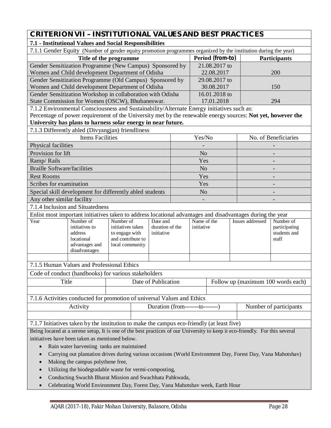# **CRITERION VII – INSTITUTIONAL VALUES AND BEST PRACTICES**

# **7.1 - Institutional Values and Social Responsibilities**

|                                                                                                                              | 7.1.1 Gender Equity (Number of gender equity promotion programmes organized by the institution during the year)                                                                                           |                                     |  |                                 |            |                                    |               |                         |                        |
|------------------------------------------------------------------------------------------------------------------------------|-----------------------------------------------------------------------------------------------------------------------------------------------------------------------------------------------------------|-------------------------------------|--|---------------------------------|------------|------------------------------------|---------------|-------------------------|------------------------|
| Title of the programme                                                                                                       |                                                                                                                                                                                                           |                                     |  |                                 |            | Period (from-to)                   |               | <b>Participants</b>     |                        |
| Gender Sensitization Programme (New Campus) Sponsored by                                                                     |                                                                                                                                                                                                           |                                     |  |                                 |            |                                    | 21.08.2017 to |                         |                        |
| Women and Child development Department of Odisha                                                                             |                                                                                                                                                                                                           |                                     |  |                                 |            |                                    | 22.08.2017    |                         | 200                    |
|                                                                                                                              | Gender Sensitization Programme (Old Campus) Sponsored by                                                                                                                                                  |                                     |  |                                 |            |                                    | 29.08.2017 to |                         |                        |
|                                                                                                                              | Women and Child development Department of Odisha                                                                                                                                                          |                                     |  |                                 |            |                                    | 30.08.2017    |                         | 150                    |
|                                                                                                                              | Gender Sensitization Workshop in collaboration with Odisha                                                                                                                                                |                                     |  |                                 |            |                                    | 16.01.2018 to |                         |                        |
|                                                                                                                              | State Commission for Women (OSCW), Bhubaneswar.                                                                                                                                                           |                                     |  |                                 |            |                                    | 17.01.2018    |                         | 294                    |
|                                                                                                                              | 7.1.2 Environmental Consciousness and Sustainability/Alternate Energy initiatives such as:<br>Percentage of power requirement of the University met by the renewable energy sources: Not yet, however the |                                     |  |                                 |            |                                    |               |                         |                        |
|                                                                                                                              | University has plans to harness solar energy in near future.                                                                                                                                              |                                     |  |                                 |            |                                    |               |                         |                        |
|                                                                                                                              | 7.1.3 Differently abled (Divyangjan) friendliness                                                                                                                                                         |                                     |  |                                 |            |                                    |               |                         |                        |
|                                                                                                                              | <b>Items Facilities</b>                                                                                                                                                                                   |                                     |  |                                 |            | Yes/No                             |               |                         | No. of Beneficiaries   |
| Physical facilities                                                                                                          |                                                                                                                                                                                                           |                                     |  |                                 |            |                                    |               |                         |                        |
| Provision for lift                                                                                                           |                                                                                                                                                                                                           |                                     |  |                                 |            | N <sub>o</sub>                     |               |                         |                        |
| Ramp/Rails                                                                                                                   |                                                                                                                                                                                                           |                                     |  |                                 |            | Yes                                |               |                         |                        |
| <b>Braille Software/facilities</b>                                                                                           |                                                                                                                                                                                                           |                                     |  |                                 |            | N <sub>o</sub>                     |               |                         |                        |
| <b>Rest Rooms</b>                                                                                                            |                                                                                                                                                                                                           |                                     |  |                                 |            | Yes                                |               |                         |                        |
| Scribes for examination                                                                                                      |                                                                                                                                                                                                           |                                     |  |                                 |            | Yes                                |               |                         |                        |
|                                                                                                                              | Special skill development for differently abled students                                                                                                                                                  |                                     |  |                                 |            | N <sub>o</sub>                     |               |                         |                        |
| Any other similar facility                                                                                                   |                                                                                                                                                                                                           |                                     |  |                                 |            |                                    |               |                         |                        |
|                                                                                                                              | 7.1.4 Inclusion and Situatedness                                                                                                                                                                          |                                     |  |                                 |            |                                    |               |                         |                        |
|                                                                                                                              | Enlist most important initiatives taken to address locational advantages and disadvantages during the year                                                                                                |                                     |  |                                 |            |                                    |               |                         |                        |
| Year                                                                                                                         | Number of                                                                                                                                                                                                 | Number of                           |  | Date and                        |            | Name of the                        |               | <b>Issues addressed</b> | Number of              |
|                                                                                                                              | initiatives to                                                                                                                                                                                            | initiatives taken                   |  | duration of the                 | initiative |                                    |               | participating           |                        |
|                                                                                                                              | address<br>locational                                                                                                                                                                                     | to engage with<br>and contribute to |  | initiative                      |            |                                    |               |                         | students and<br>staff  |
|                                                                                                                              | advantages and                                                                                                                                                                                            | local community                     |  |                                 |            |                                    |               |                         |                        |
|                                                                                                                              | disadvantages                                                                                                                                                                                             |                                     |  |                                 |            |                                    |               |                         |                        |
|                                                                                                                              |                                                                                                                                                                                                           |                                     |  |                                 |            |                                    |               |                         |                        |
|                                                                                                                              | 7.1.5 Human Values and Professional Ethics                                                                                                                                                                |                                     |  |                                 |            |                                    |               |                         |                        |
|                                                                                                                              | Code of conduct (handbooks) for various stakeholders                                                                                                                                                      |                                     |  |                                 |            |                                    |               |                         |                        |
| Title                                                                                                                        |                                                                                                                                                                                                           |                                     |  | Date of Publication             |            | Follow up (maximum 100 words each) |               |                         |                        |
|                                                                                                                              |                                                                                                                                                                                                           |                                     |  |                                 |            |                                    |               |                         |                        |
|                                                                                                                              | 7.1.6 Activities conducted for promotion of universal Values and Ethics                                                                                                                                   |                                     |  |                                 |            |                                    |               |                         |                        |
|                                                                                                                              | Activity                                                                                                                                                                                                  |                                     |  | Duration (from-------to-------) |            |                                    |               |                         | Number of participants |
|                                                                                                                              |                                                                                                                                                                                                           |                                     |  |                                 |            |                                    |               |                         |                        |
| 7.1.7 Initiatives taken by the institution to make the campus eco-friendly (at least five)                                   |                                                                                                                                                                                                           |                                     |  |                                 |            |                                    |               |                         |                        |
| Being located at a serene setup, It is one of the best practices of our University to keep it eco-friendly. For this several |                                                                                                                                                                                                           |                                     |  |                                 |            |                                    |               |                         |                        |
| initiatives have been taken as mentioned below.                                                                              |                                                                                                                                                                                                           |                                     |  |                                 |            |                                    |               |                         |                        |
| Rain water harvesting tanks are maintained<br>$\bullet$                                                                      |                                                                                                                                                                                                           |                                     |  |                                 |            |                                    |               |                         |                        |
| $\bullet$                                                                                                                    | Carrying out plantation drives during various occasions (World Environment Day, Forest Day, Vana Mahotshav)                                                                                               |                                     |  |                                 |            |                                    |               |                         |                        |
| $\bullet$                                                                                                                    | Making the campus polythene free,                                                                                                                                                                         |                                     |  |                                 |            |                                    |               |                         |                        |
| $\bullet$                                                                                                                    | Utilizing the biodegradable waste for vermi-composting,                                                                                                                                                   |                                     |  |                                 |            |                                    |               |                         |                        |

- Conducting Swachh Bharat Mission and Swachhata Pahkwada,
- Celebrating World Environment Day, Forest Day, Vana Mahotshav week, Earth Hour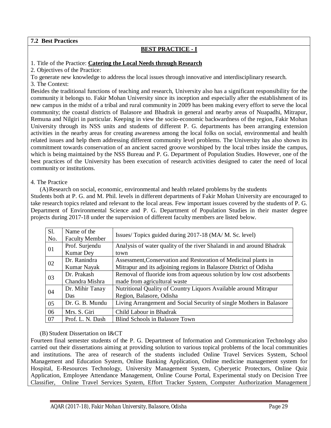#### **7.2 Best Practices**

## **BEST PRACTICE - I**

#### 1. Title of the Practice: **Catering the Local Needs through Research**

2. Objectives of the Practice:

To generate new knowledge to address the local issues through innovative and interdisciplinary research.

3. The Context:

Besides the traditional functions of teaching and research, University also has a significant responsibility for the community it belongs to. Fakir Mohan University since its inception and especially after the establishment of its new campus in the midst of a tribal and rural community in 2009 has been making every effort to serve the local community; the coastal districts of Balasore and Bhadrak in general and nearby areas of Nuapadhi, Mitrapur, Remuna and Nilgiri in particular. Keeping in view the socio-economic backwardness of the region, Fakir Mohan University through its NSS units and students of different P. G. departments has been arranging extension activities in the nearby areas for creating awareness among the local folks on social, environmental and health related issues and help them addressing different community level problems. The University has also shown its commitment towards conservation of an ancient sacred groove worshiped by the local tribes inside the campus, which is being maintained by the NSS Bureau and P. G. Department of Population Studies. However, one of the best practices of the University has been execution of research activities designed to cater the need of local community or institutions.

#### 4. The Practice

(A)Research on social, economic, environmental and health related problems by the students Students both at P. G. and M. Phil. levels in different departments of Fakir Mohan University are encouraged to take research topics related and relevant to the local areas. Few important issues covered by the students of P. G. Department of Environmental Science and P. G. Department of Population Studies in their master degree projects during 2017-18 under the supervision of different faculty members are listed below.

| S1. | Name of the           | Issues/ Topics guided during 2017-18 (MA/ M. Sc. level)               |
|-----|-----------------------|-----------------------------------------------------------------------|
| No. | <b>Faculty Member</b> |                                                                       |
| 01  | Prof. Surjendu        | Analysis of water quality of the river Shalandi in and around Bhadrak |
|     | <b>Kumar</b> Dey      | town                                                                  |
| 02  | Dr. Ranindra          | Assessment, Conservation and Restoration of Medicinal plants in       |
|     | Kumar Nayak           | Mitrapur and its adjoining regions in Balasore District of Odisha     |
| 03  | Dr. Prakash           | Removal of fluoride ions from aqueous solution by low cost adsorbents |
|     | Chandra Mishra        | made from agricultural waste                                          |
|     | Dr. Mihir Tanay       | Nutritional Quality of Country Liquors Available around Mitrapur      |
| 04  | Das                   | Region, Balasore, Odisha                                              |
| 05  | Dr. G. B. Mundu       | Living Arrangement and Social Security of single Mothers in Balasore  |
| 06  | Mrs. S. Giri          | Child Labour in Bhadrak                                               |
| 07  | Prof. L. N. Dash      | Blind Schools in Balasore Town                                        |

#### (B) Student Dissertation on I&CT

Fourteen final semester students of the P. G. Department of Information and Communication Technology also carried out their dissertations aiming at providing solution to various topical problems of the local communities and institutions. The area of research of the students included Online Travel Services System, School Management and Education System, Online Banking Application, Online medicine management system for Hospital, E-Resources Technology, University Management System, Cyberyetic Protectors, Online Quiz Application, Employee Attendance Management, Online Course Portal, Experimental study on Decision Tree Classifier, Online Travel Services System, Effort Tracker System, Computer Authorization Management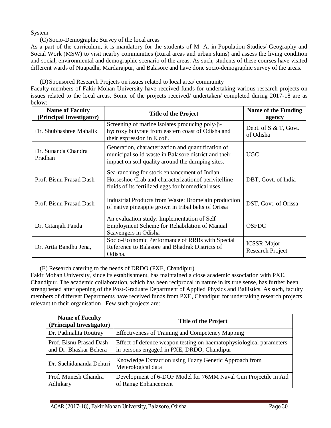System

(C) Socio-Demographic Survey of the local areas

As a part of the curriculum, it is mandatory for the students of M. A. in Population Studies/ Geography and Social Work (MSW) to visit nearby communities (Rural areas and urban slums) and assess the living condition and social, environmental and demographic scenario of the areas. As such, students of these courses have visited different wards of Nuapadhi, Mardarajpur, and Balasore and have done socio-demographic survey of the areas.

(D)Sponsored Research Projects on issues related to local area/ community

Faculty members of Fakir Mohan University have received funds for undertaking various research projects on issues related to the local areas. Some of the projects received/ undertaken/ completed during 2017-18 are as below:

| <b>Name of Faculty</b><br>(Principal Investigator) | <b>Title of the Project</b>                                                                                                                                    | <b>Name of the Funding</b><br>agency   |
|----------------------------------------------------|----------------------------------------------------------------------------------------------------------------------------------------------------------------|----------------------------------------|
| Dr. Shubhashree Mahalik                            | Screening of marine isolates producing poly- $\beta$ -<br>hydroxy butyrate from eastern coast of Odisha and<br>their expression in E.coli.                     | Dept. of S & T, Govt.<br>of Odisha     |
| Dr. Sunanda Chandra<br>Pradhan                     | Generation, characterization and quantification of<br>municipal solid waste in Balasore district and their<br>impact on soil quality around the dumping sites. | <b>UGC</b>                             |
| Prof. Bisnu Prasad Dash                            | Sea-ranching for stock enhancement of Indian<br>Horseshoe Crab and characterization of perivitelline<br>fluids of its fertilized eggs for biomedical uses      | DBT, Govt. of India                    |
| Prof. Bisnu Prasad Dash                            | Industrial Products from Waste: Bromelain production<br>of native pineapple grown in tribal belts of Orissa                                                    | DST, Govt. of Orissa                   |
| Dr. Gitanjali Panda                                | An evaluation study: Implementation of Self<br>Employment Scheme for Rehabilation of Manual<br>Scavengers in Odisha                                            | <b>OSFDC</b>                           |
| Dr. Artta Bandhu Jena,                             | Socio-Economic Performance of RRBs with Special<br>Reference to Balasore and Bhadrak Districts of<br>Odisha.                                                   | <b>ICSSR-Major</b><br>Research Project |

(E) Research catering to the needs of DRDO (PXE, Chandipur)

Fakir Mohan University, since its establishment, has maintained a close academic association with PXE, Chandipur. The academic collaboration, which has been reciprocal in nature in its true sense, has further been strengthened after opening of the Post-Graduate Department of Applied Physics and Ballistics. As such, faculty members of different Departments have received funds from PXE, Chandipur for undertaking research projects relevant to their organisation . Few such projects are:

| <b>Name of Faculty</b><br>(Principal Investigator) | <b>Title of the Project</b>                                                                                       |
|----------------------------------------------------|-------------------------------------------------------------------------------------------------------------------|
| Dr. Padmalita Routray                              | Effectiveness of Training and Competency Mapping                                                                  |
| Prof. Bisnu Prasad Dash<br>and Dr. Bhaskar Behera  | Effect of defence weapon testing on haematophysiological parameters<br>in persons engaged in PXE, DRDO, Chandipur |
| Dr. Sachidananda Dehuri                            | Knowledge Extraction using Fuzzy Genetic Approach from<br>Meterological data                                      |
| Prof. Munesh Chandra<br>Adhikary                   | Development of 6-DOF Model for 76MM Naval Gun Projectile in Aid<br>of Range Enhancement                           |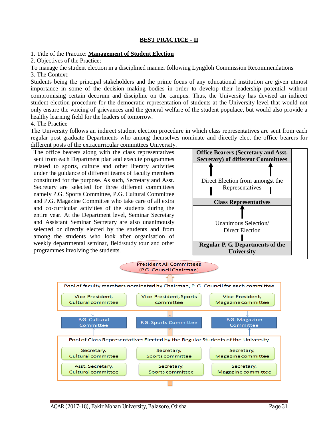#### **BEST PRACTICE - II**

#### 1. Title of the Practice: **Management of Student Election**

2. Objectives of the Practice:

To manage the student election in a disciplined manner following Lyngdoh Commission Recommendations 3. The Context:

Students being the principal stakeholders and the prime focus of any educational institution are given utmost importance in some of the decision making bodies in order to develop their leadership potential without compromising certain decorum and discipline on the campus. Thus, the University has devised an indirect student election procedure for the democratic representation of students at the University level that would not only ensure the voicing of grievances and the general welfare of the student populace, but would also provide a healthy learning field for the leaders of tomorrow.

4. The Practice

The University follows an indirect student election procedure in which class representatives are sent from each regular post graduate Departments who among themselves nominate and directly elect the office bearers for different posts of the extracurricular committees University.

The office bearers along with the class representatives sent from each Department plan and execute programmes related to sports, culture and other literary activities under the guidance of different teams of faculty members constituted for the purpose. As such, Secretary and Asst. Secretary are selected for three different committees namely P.G. Sports Committee, P.G. Cultural Committee and P.G. Magazine Committee who take care of all extra and co-curricular activities of the students during the entire year. At the Department level, Seminar Secretary and Assistant Seminar Secretary are also unanimously selected or directly elected by the students and from among the students who look after organisation of weekly departmental seminar, field/study tour and other programmes involving the students.



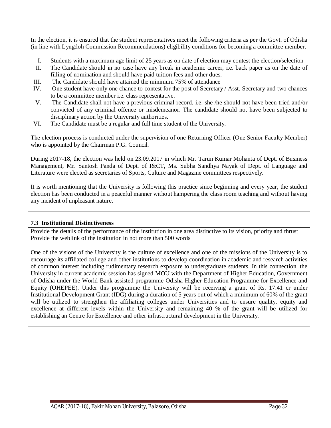In the election, it is ensured that the student representatives meet the following criteria as per the Govt. of Odisha (in line with Lyngdoh Commission Recommendations) eligibility conditions for becoming a committee member.

- I. Students with a maximum age limit of 25 years as on date of election may contest the election/selection
- II. The Candidate should in no case have any break in academic career, i.e. back paper as on the date of filling of nomination and should have paid tuition fees and other dues.
- III. The Candidate should have attained the minimum 75% of attendance
- IV. One student have only one chance to contest for the post of Secretary / Asst. Secretary and two chances to be a committee member i.e. class representative.
- V. The Candidate shall not have a previous criminal record, i.e. she /he should not have been tried and/or convicted of any criminal offence or misdemeanor. The candidate should not have been subjected to disciplinary action by the University authorities.
- VI. The Candidate must be a regular and full time student of the University.

The election process is conducted under the supervision of one Returning Officer (One Senior Faculty Member) who is appointed by the Chairman P.G. Council.

During 2017-18, the election was held on 23.09.2017 in which Mr. Tarun Kumar Mohanta of Dept. of Business Management, Mr. Santosh Panda of Dept. of I&CT, Ms. Subha Sandhya Nayak of Dept. of Language and Literature were elected as secretaries of Sports, Culture and Magazine committees respectively.

It is worth mentioning that the University is following this practice since beginning and every year, the student election has been conducted in a peaceful manner without hampering the class room teaching and without having any incident of unpleasant nature.

### **7.3 Institutional Distinctiveness**

Provide the details of the performance of the institution in one area distinctive to its vision, priority and thrust Provide the weblink of the institution in not more than 500 words

One of the visions of the University is the culture of excellence and one of the missions of the University is to encourage its affiliated college and other institutions to develop coordination in academic and research activities of common interest including rudimentary research exposure to undergraduate students. In this connection, the University in current academic session has signed MOU with the Department of Higher Education, Government of Odisha under the World Bank assisted programme-Odisha Higher Education Programme for Excellence and Equity (OHEPEE). Under this programme the University will be receiving a grant of Rs. 17.41 cr under Institutional Development Grant (IDG) during a duration of 5 years out of which a minimum of 60% of the grant will be utilized to strengthen the affiliating colleges under Universities and to ensure quality, equity and excellence at different levels within the University and remaining 40 % of the grant will be utilized for establishing an Centre for Excellence and other infrastructural development in the University.